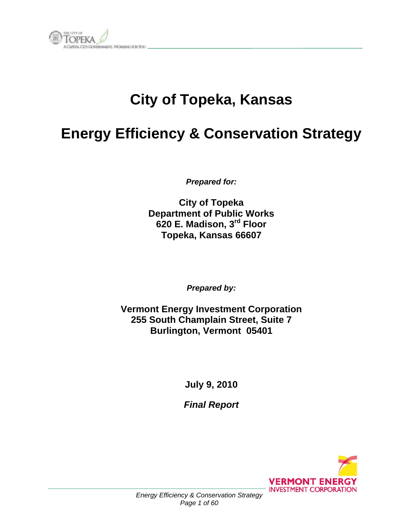

# **City of Topeka, Kansas**

# **Energy Efficiency & Conservation Strategy**

*Prepared for:* 

**City of Topeka Department of Public Works 620 E. Madison, 3rd Floor Topeka, Kansas 66607** 

*Prepared by:* 

**Vermont Energy Investment Corporation 255 South Champlain Street, Suite 7 Burlington, Vermont 05401** 

**July 9, 2010** 

*Final Report* 

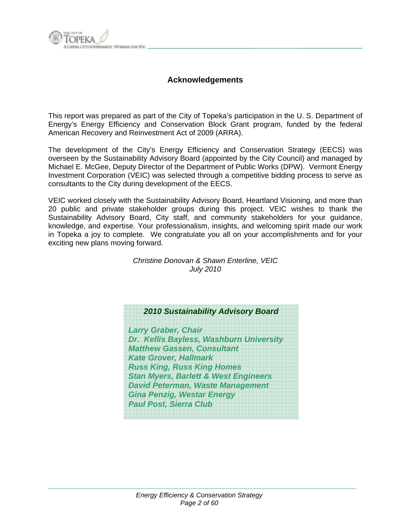

## **Acknowledgements**

This report was prepared as part of the City of Topeka's participation in the U. S. Department of Energy's Energy Efficiency and Conservation Block Grant program, funded by the federal American Recovery and Reinvestment Act of 2009 (ARRA).

The development of the City's Energy Efficiency and Conservation Strategy (EECS) was overseen by the Sustainability Advisory Board (appointed by the City Council) and managed by Michael E. McGee, Deputy Director of the Department of Public Works (DPW). Vermont Energy Investment Corporation (VEIC) was selected through a competitive bidding process to serve as consultants to the City during development of the EECS.

VEIC worked closely with the Sustainability Advisory Board, Heartland Visioning, and more than 20 public and private stakeholder groups during this project. VEIC wishes to thank the Sustainability Advisory Board, City staff, and community stakeholders for your guidance, knowledge, and expertise. Your professionalism, insights, and welcoming spirit made our work in Topeka a joy to complete. We congratulate you all on your accomplishments and for your exciting new plans moving forward.

## *Christine Donovan & Shawn Enterline, VEIC July 2010*

## *2010 Sustainability Advisory Board*

*Larry Graber, Chair Dr. Kellis Bayless, Washburn University Matthew Gassen, Consultant Kate Grover, Hallmark Russ King, Russ King Homes Stan Myers, Barlett & West Engineers David Peterman, Waste Management Gina Penzig, Westar Energy Paul Post, Sierra Club*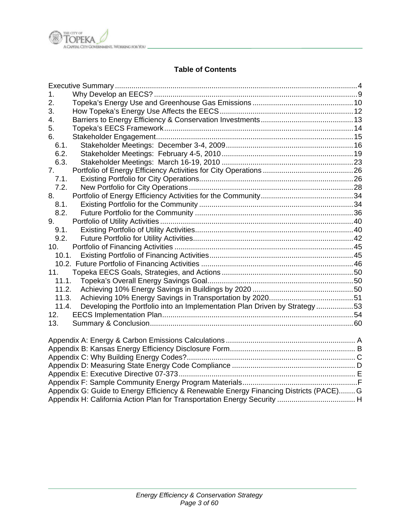

## **Table of Contents**

| 1.    |                                                                                        |  |
|-------|----------------------------------------------------------------------------------------|--|
| 2.    |                                                                                        |  |
| 3.    |                                                                                        |  |
| 4.    |                                                                                        |  |
| 5.    |                                                                                        |  |
| 6.    |                                                                                        |  |
| 6.1.  |                                                                                        |  |
| 6.2.  |                                                                                        |  |
| 6.3.  |                                                                                        |  |
| 7.    |                                                                                        |  |
| 7.1.  |                                                                                        |  |
| 7.2.  |                                                                                        |  |
| 8.    |                                                                                        |  |
| 8.1.  |                                                                                        |  |
| 8.2.  |                                                                                        |  |
| 9.    |                                                                                        |  |
| 9.1.  |                                                                                        |  |
| 9.2.  |                                                                                        |  |
| 10.   |                                                                                        |  |
| 10.1. |                                                                                        |  |
|       |                                                                                        |  |
| 11.   |                                                                                        |  |
| 11.1. |                                                                                        |  |
| 11.2. |                                                                                        |  |
| 11.3. |                                                                                        |  |
| 11.4. | Developing the Portfolio into an Implementation Plan Driven by Strategy53              |  |
| 12.   |                                                                                        |  |
| 13.   |                                                                                        |  |
|       |                                                                                        |  |
|       |                                                                                        |  |
|       |                                                                                        |  |
|       |                                                                                        |  |
|       |                                                                                        |  |
|       |                                                                                        |  |
|       |                                                                                        |  |
|       | Appendix G: Guide to Energy Efficiency & Renewable Energy Financing Districts (PACE) G |  |
|       |                                                                                        |  |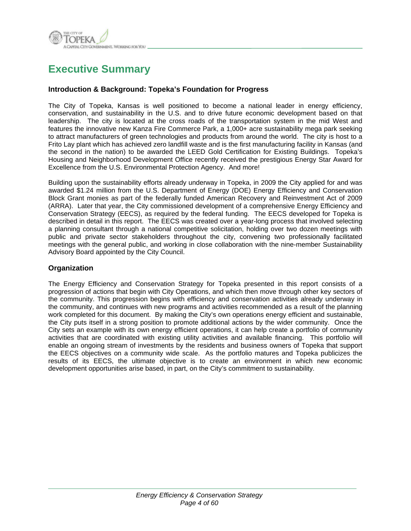

## **Executive Summary**

### **Introduction & Background: Topeka's Foundation for Progress**

The City of Topeka, Kansas is well positioned to become a national leader in energy efficiency, conservation, and sustainability in the U.S. and to drive future economic development based on that leadership. The city is located at the cross roads of the transportation system in the mid West and features the innovative new Kanza Fire Commerce Park, a 1,000+ acre sustainability mega park seeking to attract manufacturers of green technologies and products from around the world. The city is host to a Frito Lay plant which has achieved zero landfill waste and is the first manufacturing facility in Kansas (and the second in the nation) to be awarded the LEED Gold Certification for Existing Buildings. Topeka's Housing and Neighborhood Development Office recently received the prestigious Energy Star Award for Excellence from the U.S. Environmental Protection Agency. And more!

Building upon the sustainability efforts already underway in Topeka, in 2009 the City applied for and was awarded \$1.24 million from the U.S. Department of Energy (DOE) Energy Efficiency and Conservation Block Grant monies as part of the federally funded American Recovery and Reinvestment Act of 2009 (ARRA). Later that year, the City commissioned development of a comprehensive Energy Efficiency and Conservation Strategy (EECS), as required by the federal funding. The EECS developed for Topeka is described in detail in this report. The EECS was created over a year-long process that involved selecting a planning consultant through a national competitive solicitation, holding over two dozen meetings with public and private sector stakeholders throughout the city, convening two professionally facilitated meetings with the general public, and working in close collaboration with the nine-member Sustainability Advisory Board appointed by the City Council.

### **Organization**

The Energy Efficiency and Conservation Strategy for Topeka presented in this report consists of a progression of actions that begin with City Operations, and which then move through other key sectors of the community. This progression begins with efficiency and conservation activities already underway in the community, and continues with new programs and activities recommended as a result of the planning work completed for this document. By making the City's own operations energy efficient and sustainable, the City puts itself in a strong position to promote additional actions by the wider community. Once the City sets an example with its own energy efficient operations, it can help create a portfolio of community activities that are coordinated with existing utility activities and available financing. This portfolio will enable an ongoing stream of investments by the residents and business owners of Topeka that support the EECS objectives on a community wide scale. As the portfolio matures and Topeka publicizes the results of its EECS, the ultimate objective is to create an environment in which new economic development opportunities arise based, in part, on the City's commitment to sustainability.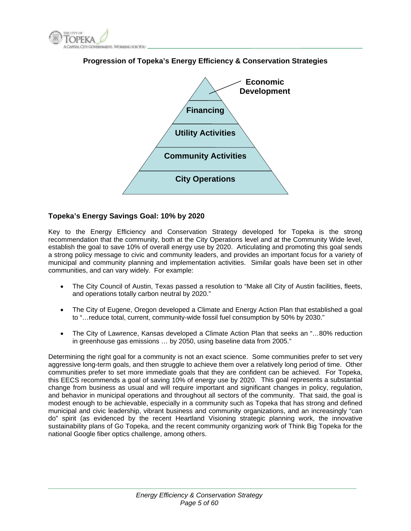



### **Progression of Topeka's Energy Efficiency & Conservation Strategies**

### **Topeka's Energy Savings Goal: 10% by 2020**

Key to the Energy Efficiency and Conservation Strategy developed for Topeka is the strong recommendation that the community, both at the City Operations level and at the Community Wide level, establish the goal to save 10% of overall energy use by 2020. Articulating and promoting this goal sends a strong policy message to civic and community leaders, and provides an important focus for a variety of municipal and community planning and implementation activities. Similar goals have been set in other communities, and can vary widely. For example:

- The City Council of Austin, Texas passed a resolution to "Make all City of Austin facilities, fleets, and operations totally carbon neutral by 2020."
- The City of Eugene, Oregon developed a Climate and Energy Action Plan that established a goal to "…reduce total, current, community-wide fossil fuel consumption by 50% by 2030."
- The City of Lawrence, Kansas developed a Climate Action Plan that seeks an "…80% reduction in greenhouse gas emissions … by 2050, using baseline data from 2005."

Determining the right goal for a community is not an exact science. Some communities prefer to set very aggressive long-term goals, and then struggle to achieve them over a relatively long period of time. Other communities prefer to set more immediate goals that they are confident can be achieved. For Topeka, this EECS recommends a goal of saving 10% of energy use by 2020. This goal represents a substantial change from business as usual and will require important and significant changes in policy, regulation, and behavior in municipal operations and throughout all sectors of the community. That said, the goal is modest enough to be achievable, especially in a community such as Topeka that has strong and defined municipal and civic leadership, vibrant business and community organizations, and an increasingly "can do" spirit (as evidenced by the recent Heartland Visioning strategic planning work, the innovative sustainability plans of Go Topeka, and the recent community organizing work of Think Big Topeka for the national Google fiber optics challenge, among others.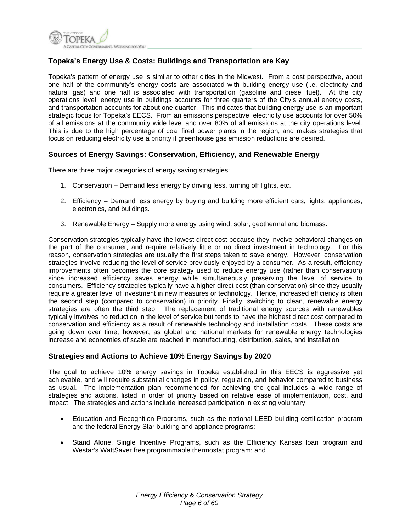

## **Topeka's Energy Use & Costs: Buildings and Transportation are Key**

Topeka's pattern of energy use is similar to other cities in the Midwest. From a cost perspective, about one half of the community's energy costs are associated with building energy use (i.e. electricity and natural gas) and one half is associated with transportation (gasoline and diesel fuel). At the city operations level, energy use in buildings accounts for three quarters of the City's annual energy costs, and transportation accounts for about one quarter. This indicates that building energy use is an important strategic focus for Topeka's EECS. From an emissions perspective, electricity use accounts for over 50% of all emissions at the community wide level and over 80% of all emissions at the city operations level. This is due to the high percentage of coal fired power plants in the region, and makes strategies that focus on reducing electricity use a priority if greenhouse gas emission reductions are desired.

### **Sources of Energy Savings: Conservation, Efficiency, and Renewable Energy**

There are three major categories of energy saving strategies:

- 1. Conservation Demand less energy by driving less, turning off lights, etc.
- 2. Efficiency Demand less energy by buying and building more efficient cars, lights, appliances, electronics, and buildings.
- 3. Renewable Energy Supply more energy using wind, solar, geothermal and biomass.

Conservation strategies typically have the lowest direct cost because they involve behavioral changes on the part of the consumer, and require relatively little or no direct investment in technology. For this reason, conservation strategies are usually the first steps taken to save energy. However, conservation strategies involve reducing the level of service previously enjoyed by a consumer. As a result, efficiency improvements often becomes the core strategy used to reduce energy use (rather than conservation) since increased efficiency saves energy while simultaneously preserving the level of service to consumers. Efficiency strategies typically have a higher direct cost (than conservation) since they usually require a greater level of investment in new measures or technology. Hence, increased efficiency is often the second step (compared to conservation) in priority. Finally, switching to clean, renewable energy strategies are often the third step. The replacement of traditional energy sources with renewables typically involves no reduction in the level of service but tends to have the highest direct cost compared to conservation and efficiency as a result of renewable technology and installation costs. These costs are going down over time, however, as global and national markets for renewable energy technologies increase and economies of scale are reached in manufacturing, distribution, sales, and installation.

#### **Strategies and Actions to Achieve 10% Energy Savings by 2020**

The goal to achieve 10% energy savings in Topeka established in this EECS is aggressive yet achievable, and will require substantial changes in policy, regulation, and behavior compared to business as usual. The implementation plan recommended for achieving the goal includes a wide range of strategies and actions, listed in order of priority based on relative ease of implementation, cost, and impact. The strategies and actions include increased participation in existing voluntary:

- Education and Recognition Programs, such as the national LEED building certification program and the federal Energy Star building and appliance programs;
- Stand Alone, Single Incentive Programs, such as the Efficiency Kansas loan program and Westar's WattSaver free programmable thermostat program; and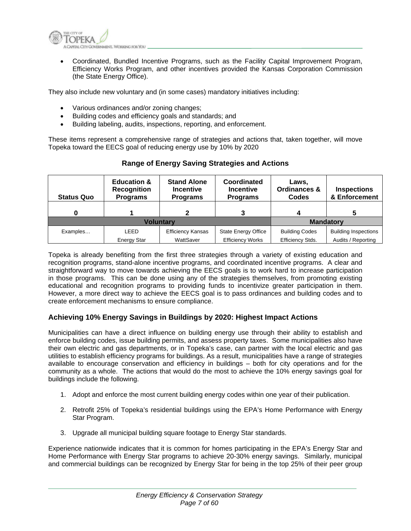

 Coordinated, Bundled Incentive Programs, such as the Facility Capital Improvement Program, Efficiency Works Program, and other incentives provided the Kansas Corporation Commission (the State Energy Office).

They also include new voluntary and (in some cases) mandatory initiatives including:

- Various ordinances and/or zoning changes;
- Building codes and efficiency goals and standards; and

Building labeling, audits, inspections, reporting, and enforcement.

These items represent a comprehensive range of strategies and actions that, taken together, will move Topeka toward the EECS goal of reducing energy use by 10% by 2020

| <b>Status Quo</b> | <b>Education &amp;</b><br><b>Recognition</b><br><b>Programs</b> | <b>Stand Alone</b><br><b>Incentive</b><br><b>Programs</b> | Coordinated<br><b>Incentive</b><br><b>Programs</b> | Laws,<br><b>Ordinances &amp;</b><br>Codes | <b>Inspections</b><br>& Enforcement |
|-------------------|-----------------------------------------------------------------|-----------------------------------------------------------|----------------------------------------------------|-------------------------------------------|-------------------------------------|
| 0                 |                                                                 |                                                           |                                                    |                                           |                                     |
| Voluntarv         |                                                                 |                                                           |                                                    | <b>Mandatory</b>                          |                                     |
| Examples          | LEED                                                            | <b>Efficiency Kansas</b>                                  | <b>State Energy Office</b>                         | <b>Building Codes</b>                     | <b>Building Inspections</b>         |
|                   | <b>Energy Star</b>                                              | WattSaver                                                 | <b>Efficiency Works</b>                            | Efficiency Stds.                          | Audits / Reporting                  |

## **Range of Energy Saving Strategies and Actions**

Topeka is already benefiting from the first three strategies through a variety of existing education and recognition programs, stand-alone incentive programs, and coordinated incentive programs. A clear and straightforward way to move towards achieving the EECS goals is to work hard to increase participation in those programs. This can be done using any of the strategies themselves, from promoting existing educational and recognition programs to providing funds to incentivize greater participation in them. However, a more direct way to achieve the EECS goal is to pass ordinances and building codes and to create enforcement mechanisms to ensure compliance.

### **Achieving 10% Energy Savings in Buildings by 2020: Highest Impact Actions**

Municipalities can have a direct influence on building energy use through their ability to establish and enforce building codes, issue building permits, and assess property taxes. Some municipalities also have their own electric and gas departments, or in Topeka's case, can partner with the local electric and gas utilities to establish efficiency programs for buildings. As a result, municipalities have a range of strategies available to encourage conservation and efficiency in buildings – both for city operations and for the community as a whole. The actions that would do the most to achieve the 10% energy savings goal for buildings include the following.

- 1. Adopt and enforce the most current building energy codes within one year of their publication.
- 2. Retrofit 25% of Topeka's residential buildings using the EPA's Home Performance with Energy Star Program.
- 3. Upgrade all municipal building square footage to Energy Star standards.

Experience nationwide indicates that it is common for homes participating in the EPA's Energy Star and Home Performance with Energy Star programs to achieve 20-30% energy savings. Similarly, municipal and commercial buildings can be recognized by Energy Star for being in the top 25% of their peer group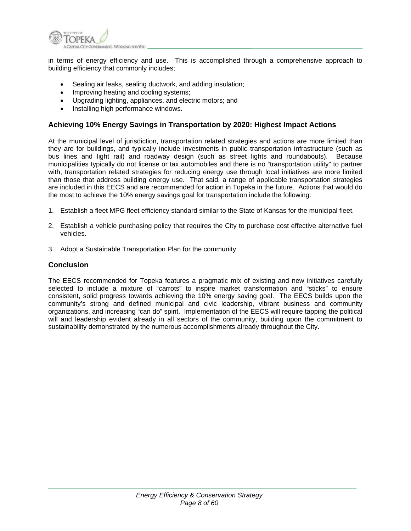

in terms of energy efficiency and use. This is accomplished through a comprehensive approach to building efficiency that commonly includes;

- Sealing air leaks, sealing ductwork, and adding insulation;
- Improving heating and cooling systems;
- Upgrading lighting, appliances, and electric motors; and

Installing high performance windows.

#### **Achieving 10% Energy Savings in Transportation by 2020: Highest Impact Actions**

At the municipal level of jurisdiction, transportation related strategies and actions are more limited than they are for buildings, and typically include investments in public transportation infrastructure (such as bus lines and light rail) and roadway design (such as street lights and roundabouts). Because municipalities typically do not license or tax automobiles and there is no "transportation utility" to partner with, transportation related strategies for reducing energy use through local initiatives are more limited than those that address building energy use. That said, a range of applicable transportation strategies are included in this EECS and are recommended for action in Topeka in the future. Actions that would do the most to achieve the 10% energy savings goal for transportation include the following:

- 1. Establish a fleet MPG fleet efficiency standard similar to the State of Kansas for the municipal fleet.
- 2. Establish a vehicle purchasing policy that requires the City to purchase cost effective alternative fuel vehicles.
- 3. Adopt a Sustainable Transportation Plan for the community.

#### **Conclusion**

The EECS recommended for Topeka features a pragmatic mix of existing and new initiatives carefully selected to include a mixture of "carrots" to inspire market transformation and "sticks" to ensure consistent, solid progress towards achieving the 10% energy saving goal. The EECS builds upon the community's strong and defined municipal and civic leadership, vibrant business and community organizations, and increasing "can do" spirit. Implementation of the EECS will require tapping the political will and leadership evident already in all sectors of the community, building upon the commitment to sustainability demonstrated by the numerous accomplishments already throughout the City.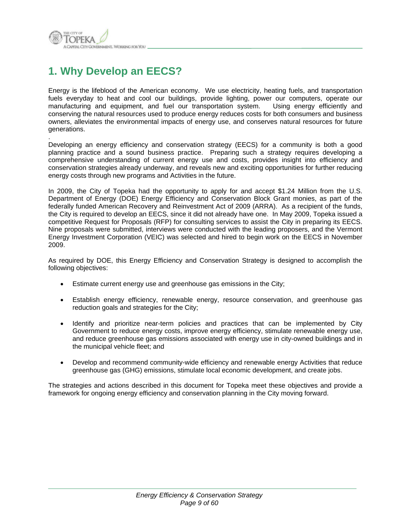

## **1. Why Develop an EECS?**

Energy is the lifeblood of the American economy. We use electricity, heating fuels, and transportation fuels everyday to heat and cool our buildings, provide lighting, power our computers, operate our manufacturing and equipment, and fuel our transportation system. Using energy efficiently and conserving the natural resources used to produce energy reduces costs for both consumers and business owners, alleviates the environmental impacts of energy use, and conserves natural resources for future generations.

. Developing an energy efficiency and conservation strategy (EECS) for a community is both a good planning practice and a sound business practice. Preparing such a strategy requires developing a comprehensive understanding of current energy use and costs, provides insight into efficiency and conservation strategies already underway, and reveals new and exciting opportunities for further reducing energy costs through new programs and Activities in the future.

In 2009, the City of Topeka had the opportunity to apply for and accept \$1.24 Million from the U.S. Department of Energy (DOE) Energy Efficiency and Conservation Block Grant monies, as part of the federally funded American Recovery and Reinvestment Act of 2009 (ARRA). As a recipient of the funds, the City is required to develop an EECS, since it did not already have one. In May 2009, Topeka issued a competitive Request for Proposals (RFP) for consulting services to assist the City in preparing its EECS. Nine proposals were submitted, interviews were conducted with the leading proposers, and the Vermont Energy Investment Corporation (VEIC) was selected and hired to begin work on the EECS in November 2009.

As required by DOE, this Energy Efficiency and Conservation Strategy is designed to accomplish the following objectives:

- Estimate current energy use and greenhouse gas emissions in the City;
- Establish energy efficiency, renewable energy, resource conservation, and greenhouse gas reduction goals and strategies for the City;
- Identify and prioritize near-term policies and practices that can be implemented by City Government to reduce energy costs, improve energy efficiency, stimulate renewable energy use, and reduce greenhouse gas emissions associated with energy use in city-owned buildings and in the municipal vehicle fleet; and
- Develop and recommend community-wide efficiency and renewable energy Activities that reduce greenhouse gas (GHG) emissions, stimulate local economic development, and create jobs.

The strategies and actions described in this document for Topeka meet these objectives and provide a framework for ongoing energy efficiency and conservation planning in the City moving forward.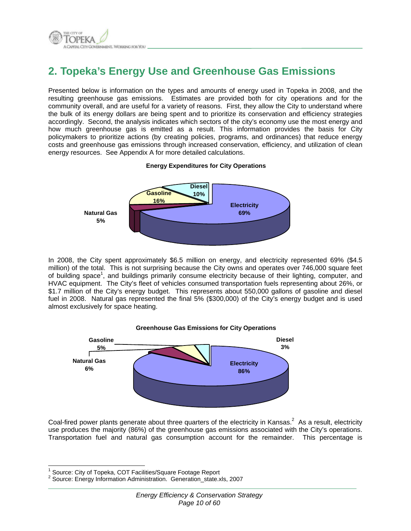

## **2. Topeka's Energy Use and Greenhouse Gas Emissions**

Presented below is information on the types and amounts of energy used in Topeka in 2008, and the resulting greenhouse gas emissions. Estimates are provided both for city operations and for the community overall, and are useful for a variety of reasons. First, they allow the City to understand where the bulk of its energy dollars are being spent and to prioritize its conservation and efficiency strategies accordingly. Second, the analysis indicates which sectors of the city's economy use the most energy and how much greenhouse gas is emitted as a result. This information provides the basis for City policymakers to prioritize actions (by creating policies, programs, and ordinances) that reduce energy costs and greenhouse gas emissions through increased conservation, efficiency, and utilization of clean energy resources. See Appendix A for more detailed calculations.

#### **Energy Expenditures for City Operations**



In 2008, the City spent approximately \$6.5 million on energy, and electricity represented 69% (\$4.5 million) of the total. This is not surprising because the City owns and operates over 746,000 square feet of building space<sup>1</sup>, and buildings primarily consume electricity because of their lighting, computer, and HVAC equipment. The City's fleet of vehicles consumed transportation fuels representing about 26%, or \$1.7 million of the City's energy budget. This represents about 550,000 gallons of gasoline and diesel fuel in 2008. Natural gas represented the final 5% (\$300,000) of the City's energy budget and is used almost exclusively for space heating.



Coal-fired power plants generate about three quarters of the electricity in Kansas. $2$  As a result, electricity use produces the majority (86%) of the greenhouse gas emissions associated with the City's operations. Transportation fuel and natural gas consumption account for the remainder. This percentage is

-

<sup>&</sup>lt;sup>1</sup> Source: City of Topeka, COT Facilities/Square Footage Report<br><sup>2</sup> Source: Facray Information Administration. Consection atota vi

<sup>&</sup>lt;sup>2</sup> Source: Energy Information Administration. Generation\_state.xls, 2007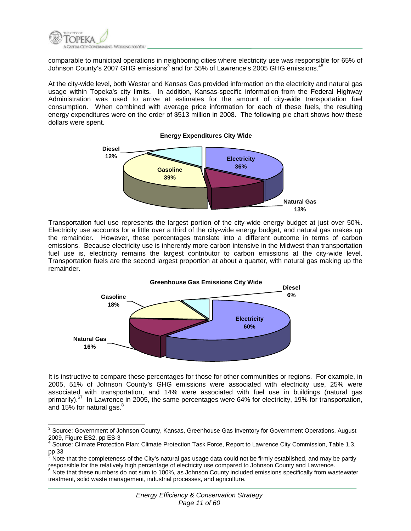

 $\overline{a}$ 

comparable to municipal operations in neighboring cities where electricity use was responsible for 65% of Johnson County's 2007 GHG emissions<sup>3</sup> and for 55% of Lawrence's 2005 GHG emissions.<sup>45</sup>

At the city-wide level, both Westar and Kansas Gas provided information on the electricity and natural gas usage within Topeka's city limits. In addition, Kansas-specific information from the Federal Highway Administration was used to arrive at estimates for the amount of city-wide transportation fuel consumption. When combined with average price information for each of these fuels, the resulting energy expenditures were on the order of \$513 million in 2008. The following pie chart shows how these dollars were spent.

**Energy Expenditures City Wide**



Transportation fuel use represents the largest portion of the city-wide energy budget at just over 50%. Electricity use accounts for a little over a third of the city-wide energy budget, and natural gas makes up the remainder. However, these percentages translate into a different outcome in terms of carbon emissions. Because electricity use is inherently more carbon intensive in the Midwest than transportation fuel use is, electricity remains the largest contributor to carbon emissions at the city-wide level. Transportation fuels are the second largest proportion at about a quarter, with natural gas making up the remainder.



It is instructive to compare these percentages for those for other communities or regions. For example, in 2005, 51% of Johnson County's GHG emissions were associated with electricity use, 25% were associated with transportation, and 14% were associated with fuel use in buildings (natural gas primarily).67 In Lawrence in 2005, the same percentages were 64% for electricity, 19% for transportation, and 15% for natural gas. $8<sup>8</sup>$ 

 $3$  Source: Government of Johnson County, Kansas, Greenhouse Gas Inventory for Government Operations, August 2009, Figure ES2, pp ES-3<br><sup>4</sup> Source: Climate Pretaction

Source: Climate Protection Plan: Climate Protection Task Force, Report to Lawrence City Commission, Table 1.3, pp 33

Note that the completeness of the City's natural gas usage data could not be firmly established, and may be partly responsible for the relatively high percentage of electricity use compared to Johnson County and Lawrence.

 $6$  Note that these numbers do not sum to 100%, as Johnson County included emissions specifically from wastewater treatment, solid waste management, industrial processes, and agriculture.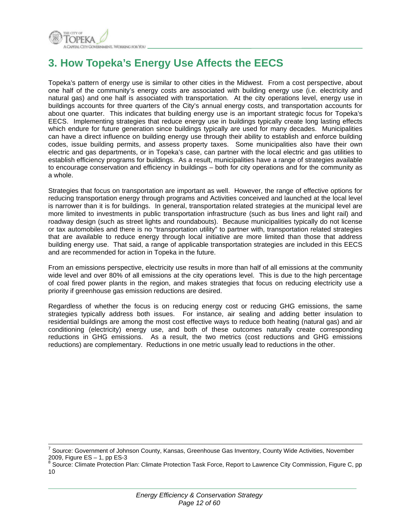

## **3. How Topeka's Energy Use Affects the EECS**

Topeka's pattern of energy use is similar to other cities in the Midwest. From a cost perspective, about one half of the community's energy costs are associated with building energy use (i.e. electricity and natural gas) and one half is associated with transportation. At the city operations level, energy use in buildings accounts for three quarters of the City's annual energy costs, and transportation accounts for about one quarter. This indicates that building energy use is an important strategic focus for Topeka's EECS. Implementing strategies that reduce energy use in buildings typically create long lasting effects which endure for future generation since buildings typically are used for many decades. Municipalities can have a direct influence on building energy use through their ability to establish and enforce building codes, issue building permits, and assess property taxes. Some municipalities also have their own electric and gas departments, or in Topeka's case, can partner with the local electric and gas utilities to establish efficiency programs for buildings. As a result, municipalities have a range of strategies available to encourage conservation and efficiency in buildings – both for city operations and for the community as a whole.

Strategies that focus on transportation are important as well. However, the range of effective options for reducing transportation energy through programs and Activities conceived and launched at the local level is narrower than it is for buildings. In general, transportation related strategies at the municipal level are more limited to investments in public transportation infrastructure (such as bus lines and light rail) and roadway design (such as street lights and roundabouts). Because municipalities typically do not license or tax automobiles and there is no "transportation utility" to partner with, transportation related strategies that are available to reduce energy through local initiative are more limited than those that address building energy use. That said, a range of applicable transportation strategies are included in this EECS and are recommended for action in Topeka in the future.

From an emissions perspective, electricity use results in more than half of all emissions at the community wide level and over 80% of all emissions at the city operations level. This is due to the high percentage of coal fired power plants in the region, and makes strategies that focus on reducing electricity use a priority if greenhouse gas emission reductions are desired.

Regardless of whether the focus is on reducing energy cost or reducing GHG emissions, the same strategies typically address both issues. For instance, air sealing and adding better insulation to residential buildings are among the most cost effective ways to reduce both heating (natural gas) and air conditioning (electricity) energy use, and both of these outcomes naturally create corresponding reductions in GHG emissions. As a result, the two metrics (cost reductions and GHG emissions reductions) are complementary. Reductions in one metric usually lead to reductions in the other.

<sup>&</sup>lt;sup>7</sup> Source: Government of Johnson County, Kansas, Greenhouse Gas Inventory, County Wide Activities, November

<sup>2009,</sup> Figure ES – 1, pp ES-3<br><sup>8</sup> Source: Climate Protection Plan: Climate Protection Task Force, Report to Lawrence City Commission, Figure C, pp 10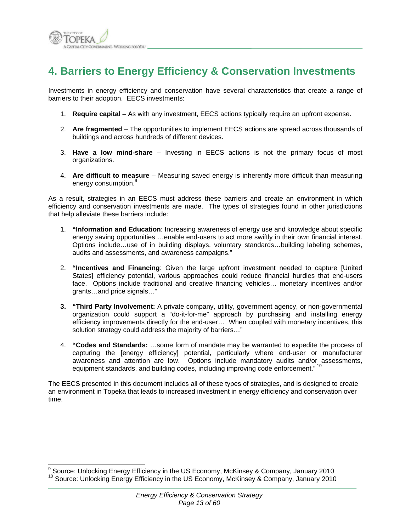

## **4. Barriers to Energy Efficiency & Conservation Investments**

Investments in energy efficiency and conservation have several characteristics that create a range of barriers to their adoption. EECS investments:

- 1. **Require capital** As with any investment, EECS actions typically require an upfront expense.
- 2. **Are fragmented** The opportunities to implement EECS actions are spread across thousands of buildings and across hundreds of different devices.
- 3. **Have a low mind-share** Investing in EECS actions is not the primary focus of most organizations.
- 4. **Are difficult to measure** Measuring saved energy is inherently more difficult than measuring energy consumption.<sup>9</sup>

As a result, strategies in an EECS must address these barriers and create an environment in which efficiency and conservation investments are made. The types of strategies found in other jurisdictions that help alleviate these barriers include:

- 1. **"Information and Education**: Increasing awareness of energy use and knowledge about specific energy saving opportunities …enable end-users to act more swiftly in their own financial interest. Options include…use of in building displays, voluntary standards…building labeling schemes, audits and assessments, and awareness campaigns."
- 2. **"Incentives and Financing**: Given the large upfront investment needed to capture [United States] efficiency potential, various approaches could reduce financial hurdles that end-users face. Options include traditional and creative financing vehicles… monetary incentives and/or grants…and price signals…"
- **3. "Third Party Involvement:** A private company, utility, government agency, or non-governmental organization could support a "do-it-for-me" approach by purchasing and installing energy efficiency improvements directly for the end-user… When coupled with monetary incentives, this solution strategy could address the majority of barriers…"
- 4. **"Codes and Standards:** …some form of mandate may be warranted to expedite the process of capturing the [energy efficiency] potential, particularly where end-user or manufacturer awareness and attention are low. Options include mandatory audits and/or assessments, equipment standards, and building codes, including improving code enforcement."<sup>10</sup>

The EECS presented in this document includes all of these types of strategies, and is designed to create an environment in Topeka that leads to increased investment in energy efficiency and conservation over time.

<sup>-&</sup>lt;br>9 <sup>10</sup> Source: Unlocking Energy Efficiency in the US Economy, McKinsey & Company, January 2010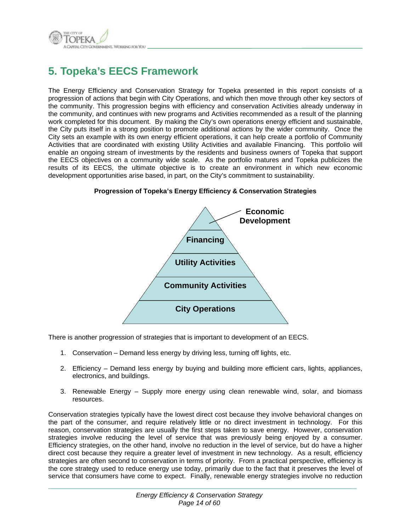

## **5. Topeka's EECS Framework**

The Energy Efficiency and Conservation Strategy for Topeka presented in this report consists of a progression of actions that begin with City Operations, and which then move through other key sectors of the community. This progression begins with efficiency and conservation Activities already underway in the community, and continues with new programs and Activities recommended as a result of the planning work completed for this document. By making the City's own operations energy efficient and sustainable, the City puts itself in a strong position to promote additional actions by the wider community. Once the City sets an example with its own energy efficient operations, it can help create a portfolio of Community Activities that are coordinated with existing Utility Activities and available Financing. This portfolio will enable an ongoing stream of investments by the residents and business owners of Topeka that support the EECS objectives on a community wide scale. As the portfolio matures and Topeka publicizes the results of its EECS, the ultimate objective is to create an environment in which new economic development opportunities arise based, in part, on the City's commitment to sustainability.



#### **Progression of Topeka's Energy Efficiency & Conservation Strategies**

There is another progression of strategies that is important to development of an EECS.

- 1. Conservation Demand less energy by driving less, turning off lights, etc.
- 2. Efficiency Demand less energy by buying and building more efficient cars, lights, appliances, electronics, and buildings.
- 3. Renewable Energy Supply more energy using clean renewable wind, solar, and biomass resources.

Conservation strategies typically have the lowest direct cost because they involve behavioral changes on the part of the consumer, and require relatively little or no direct investment in technology. For this reason, conservation strategies are usually the first steps taken to save energy. However, conservation strategies involve reducing the level of service that was previously being enjoyed by a consumer. Efficiency strategies, on the other hand, involve no reduction in the level of service, but do have a higher direct cost because they require a greater level of investment in new technology. As a result, efficiency strategies are often second to conservation in terms of priority. From a practical perspective, efficiency is the core strategy used to reduce energy use today, primarily due to the fact that it preserves the level of service that consumers have come to expect. Finally, renewable energy strategies involve no reduction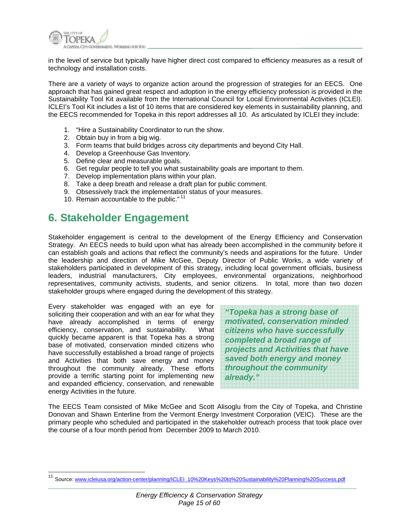

in the level of service but typically have higher direct cost compared to efficiency measures as a result of technology and installation costs.

There are a variety of ways to organize action around the progression of strategies for an EECS. One approach that has gained great respect and adoption in the energy efficiency profession is provided in the Sustainability Tool Kit available from the International Council for Local Environmental Activities (ICLEI). ICLEI's Tool Kit includes a list of 10 items that are considered key elements in sustainability planning, and the EECS recommended for Topeka in this report addresses all 10. As articulated by ICLEI they include:

1. "Hire a Sustainability Coordinator to run the show.

- 2. Obtain buy in from a big wig.
- 3. Form teams that build bridges across city departments and beyond City Hall.
- 4. Develop a Greenhouse Gas Inventory.
- 5. Define clear and measurable goals.
- 6. Get regular people to tell you what sustainability goals are important to them.
- 7. Develop implementation plans within your plan.
- 8. Take a deep breath and release a draft plan for public comment.
- 9. Obsessively track the implementation status of your measures.
- 10. Remain accountable to the public."<sup>11</sup>

## **6. Stakeholder Engagement**

Stakeholder engagement is central to the development of the Energy Efficiency and Conservation Strategy. An EECS needs to build upon what has already been accomplished in the community before it can establish goals and actions that reflect the community's needs and aspirations for the future. Under the leadership and direction of Mike McGee, Deputy Director of Public Works, a wide variety of stakeholders participated in development of this strategy, including local government officials, business leaders, industrial manufacturers, City employees, environmental organizations, neighborhood representatives, community activists, students, and senior citizens. In total, more than two dozen stakeholder groups where engaged during the development of this strategy.

Every stakeholder was engaged with an eye for soliciting their cooperation and with an ear for what they have already accomplished in terms of energy efficiency, conservation, and sustainability. What quickly became apparent is that Topeka has a strong base of motivated, conservation minded citizens who have successfully established a broad range of projects and Activities that both save energy and money throughout the community already. These efforts provide a terrific starting point for implementing new and expanded efficiency, conservation, and renewable energy Activities in the future.

l

*"Topeka has a strong base of motivated, conservation minded citizens who have successfully completed a broad range of projects and Activities that have saved both energy and money throughout the community already."*

The EECS Team consisted of Mike McGee and Scott Alisoglu from the City of Topeka, and Christine Donovan and Shawn Enterline from the Vermont Energy Investment Corporation (VEIC). These are the primary people who scheduled and participated in the stakeholder outreach process that took place over the course of a four month period from December 2009 to March 2010.

<sup>11</sup> Source: www.icleiusa.org/action-center/planning/ICLEI\_10%20Keys%20to%20Sustainability%20Planning%20Success.pdf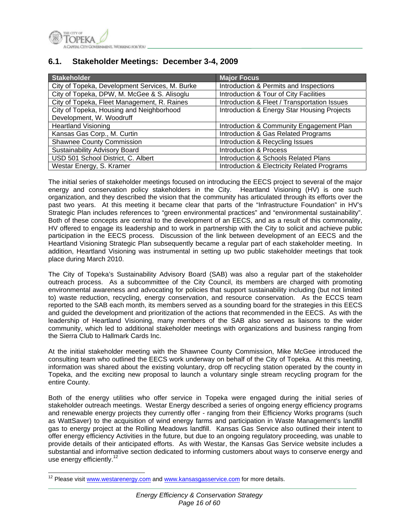

## **6.1. Stakeholder Meetings: December 3-4, 2009**

| <b>Stakeholder</b>                             | <b>Major Focus</b>                              |
|------------------------------------------------|-------------------------------------------------|
| City of Topeka, Development Services, M. Burke | Introduction & Permits and Inspections          |
| City of Topeka, DPW, M. McGee & S. Alisoglu    | Introduction & Tour of City Facilities          |
| City of Topeka, Fleet Management, R. Raines    | Introduction & Fleet / Transportation Issues    |
| City of Topeka, Housing and Neighborhood       | Introduction & Energy Star Housing Projects     |
| Development, W. Woodruff                       |                                                 |
| <b>Heartland Visioning</b>                     | Introduction & Community Engagement Plan        |
| Kansas Gas Corp., M. Curtin                    | Introduction & Gas Related Programs             |
| <b>Shawnee County Commission</b>               | Introduction & Recycling Issues                 |
| Sustainability Advisory Board                  | <b>Introduction &amp; Process</b>               |
| USD 501 School District, C. Albert             | <b>Introduction &amp; Schools Related Plans</b> |
| Westar Energy, S. Kramer                       | Introduction & Electricity Related Programs     |

The initial series of stakeholder meetings focused on introducing the EECS project to several of the major energy and conservation policy stakeholders in the City. Heartland Visioning (HV) is one such organization, and they described the vision that the community has articulated through its efforts over the past two years. At this meeting it became clear that parts of the "Infrastructure Foundation" in HV's Strategic Plan includes references to "green environmental practices" and "environmental sustainability". Both of these concepts are central to the development of an EECS, and as a result of this commonality, HV offered to engage its leadership and to work in partnership with the City to solicit and achieve public participation in the EECS process. Discussion of the link between development of an EECS and the Heartland Visioning Strategic Plan subsequently became a regular part of each stakeholder meeting. In addition, Heartland Visioning was instrumental in setting up two public stakeholder meetings that took place during March 2010.

The City of Topeka's Sustainability Advisory Board (SAB) was also a regular part of the stakeholder outreach process. As a subcommittee of the City Council, its members are charged with promoting environmental awareness and advocating for policies that support sustainability including (but not limited to) waste reduction, recycling, energy conservation, and resource conservation. As the ECCS team reported to the SAB each month, its members served as a sounding board for the strategies in this EECS and guided the development and prioritization of the actions that recommended in the EECS. As with the leadership of Heartland Visioning, many members of the SAB also served as liaisons to the wider community, which led to additional stakeholder meetings with organizations and business ranging from the Sierra Club to Hallmark Cards Inc.

At the initial stakeholder meeting with the Shawnee County Commission, Mike McGee introduced the consulting team who outlined the EECS work underway on behalf of the City of Topeka. At this meeting, information was shared about the existing voluntary, drop off recycling station operated by the county in Topeka, and the exciting new proposal to launch a voluntary single stream recycling program for the entire County.

Both of the energy utilities who offer service in Topeka were engaged during the initial series of stakeholder outreach meetings. Westar Energy described a series of ongoing energy efficiency programs and renewable energy projects they currently offer - ranging from their Efficiency Works programs (such as WattSaver) to the acquisition of wind energy farms and participation in Waste Management's landfill gas to energy project at the Rolling Meadows landfill. Kansas Gas Service also outlined their intent to offer energy efficiency Activities in the future, but due to an ongoing regulatory proceeding, was unable to provide details of their anticipated efforts. As with Westar, the Kansas Gas Service website includes a substantial and informative section dedicated to informing customers about ways to conserve energy and use energy efficiently. $12$ 

<sup>1</sup> <sup>12</sup> Please visit www.westarenergy.com and www.kansasgasservice.com for more details.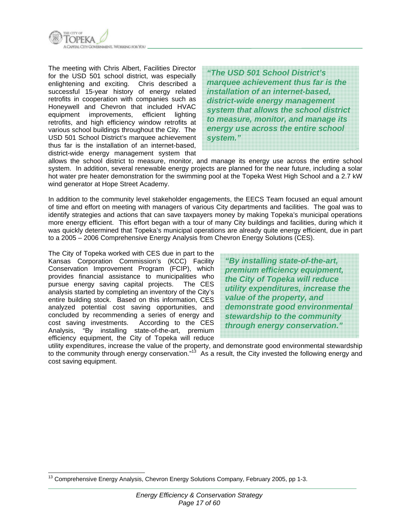

The meeting with Chris Albert, Facilities Director for the USD 501 school district, was especially enlightening and exciting. Chris described a successful 15-year history of energy related retrofits in cooperation with companies such as Honeywell and Chevron that included HVAC equipment improvements, efficient lighting retrofits, and high efficiency window retrofits at various school buildings throughout the City. The USD 501 School District's marquee achievement thus far is the installation of an internet-based, district-wide energy management system that

*"The USD 501 School District's marquee achievement thus far is the installation of an internet-based, district-wide energy management system that allows the school district to measure, monitor, and manage its energy use across the entire school system."* 

allows the school district to measure, monitor, and manage its energy use across the entire school system. In addition, several renewable energy projects are planned for the near future, including a solar hot water pre heater demonstration for the swimming pool at the Topeka West High School and a 2.7 kW wind generator at Hope Street Academy.

In addition to the community level stakeholder engagements, the EECS Team focused an equal amount of time and effort on meeting with managers of various City departments and facilities. The goal was to identify strategies and actions that can save taxpayers money by making Topeka's municipal operations more energy efficient. This effort began with a tour of many City buildings and facilities, during which it was quickly determined that Topeka's municipal operations are already quite energy efficient, due in part to a 2005 – 2006 Comprehensive Energy Analysis from Chevron Energy Solutions (CES).

The City of Topeka worked with CES due in part to the Kansas Corporation Commission's (KCC) Facility Conservation Improvement Program (FCIP), which provides financial assistance to municipalities who pursue energy saving capital projects. The CES analysis started by completing an inventory of the City's entire building stock. Based on this information, CES analyzed potential cost saving opportunities, and concluded by recommending a series of energy and cost saving investments. According to the CES Analysis, "By installing state-of-the-art, premium efficiency equipment, the City of Topeka will reduce

*"By installing state-of-the-art, premium efficiency equipment, the City of Topeka will reduce utility expenditures, increase the value of the property, and demonstrate good environmental stewardship to the community through energy conservation."* 

utility expenditures, increase the value of the property, and demonstrate good environmental stewardship to the community through energy conservation."13 As a result, the City invested the following energy and cost saving equipment.

<sup>1</sup>  $13$  Comprehensive Energy Analysis, Chevron Energy Solutions Company, February 2005, pp 1-3.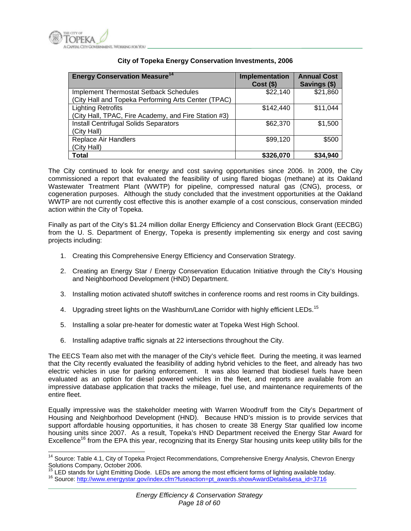

1

| <b>Energy Conservation Measure<sup>14</sup></b>      | Implementation<br>$Cost($ \$) | <b>Annual Cost</b><br>Savings (\$) |
|------------------------------------------------------|-------------------------------|------------------------------------|
| <b>Implement Thermostat Setback Schedules</b>        | \$22,140                      | \$21,860                           |
| (City Hall and Topeka Performing Arts Center (TPAC)  |                               |                                    |
| <b>Lighting Retrofits</b>                            | \$142,440                     | \$11,044                           |
| (City Hall, TPAC, Fire Academy, and Fire Station #3) |                               |                                    |
| <b>Install Centrifugal Solids Separators</b>         | \$62,370                      | \$1,500                            |
| (City Hall)                                          |                               |                                    |
| <b>Replace Air Handlers</b>                          | \$99,120                      | \$500                              |
| (City Hall)                                          |                               |                                    |
| Total                                                | \$326,070                     | \$34.940                           |

#### **City of Topeka Energy Conservation Investments, 2006**

The City continued to look for energy and cost saving opportunities since 2006. In 2009, the City commissioned a report that evaluated the feasibility of using flared biogas (methane) at its Oakland Wastewater Treatment Plant (WWTP) for pipeline, compressed natural gas (CNG), process, or cogeneration purposes. Although the study concluded that the investment opportunities at the Oakland WWTP are not currently cost effective this is another example of a cost conscious, conservation minded action within the City of Topeka.

Finally as part of the City's \$1.24 million dollar Energy Efficiency and Conservation Block Grant (EECBG) from the U. S. Department of Energy, Topeka is presently implementing six energy and cost saving projects including:

- 1. Creating this Comprehensive Energy Efficiency and Conservation Strategy.
- 2. Creating an Energy Star / Energy Conservation Education Initiative through the City's Housing and Neighborhood Development (HND) Department.
- 3. Installing motion activated shutoff switches in conference rooms and rest rooms in City buildings.
- 4. Upgrading street lights on the Washburn/Lane Corridor with highly efficient LEDs.<sup>15</sup>
- 5. Installing a solar pre-heater for domestic water at Topeka West High School.
- 6. Installing adaptive traffic signals at 22 intersections throughout the City.

The EECS Team also met with the manager of the City's vehicle fleet. During the meeting, it was learned that the City recently evaluated the feasibility of adding hybrid vehicles to the fleet, and already has two electric vehicles in use for parking enforcement. It was also learned that biodiesel fuels have been evaluated as an option for diesel powered vehicles in the fleet, and reports are available from an impressive database application that tracks the mileage, fuel use, and maintenance requirements of the entire fleet.

Equally impressive was the stakeholder meeting with Warren Woodruff from the City's Department of Housing and Neighborhood Development (HND). Because HND's mission is to provide services that support affordable housing opportunities, it has chosen to create 38 Energy Star qualified low income housing units since 2007. As a result, Topeka's HND Department received the Energy Star Award for Excellence<sup>16</sup> from the EPA this year, recognizing that its Energy Star housing units keep utility bills for the

<sup>&</sup>lt;sup>14</sup> Source: Table 4.1, City of Topeka Project Recommendations, Comprehensive Energy Analysis, Chevron Energy Solutions Company, October 2006.<br><sup>15</sup> LED stands for Light Emitting Diode. LEDs are among the most efficient forms of lighting available today.

<sup>&</sup>lt;sup>16</sup> Source: http://www.energystar.gov/index.cfm?fuseaction=pt\_awards.showAwardDetails&esa\_id=3716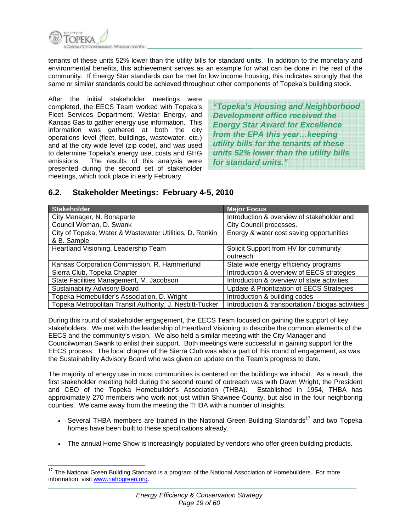

-

tenants of these units 52% lower than the utility bills for standard units. In addition to the monetary and environmental benefits, this achievement serves as an example for what can be done in the rest of the community. If Energy Star standards can be met for low income housing, this indicates strongly that the same or similar standards could be achieved throughout other components of Topeka's building stock.

After the initial stakeholder meetings were completed, the EECS Team worked with Topeka's Fleet Services Department, Westar Energy, and Kansas Gas to gather energy use information. This information was gathered at both the city operations level (fleet, buildings, wastewater, etc.) and at the city wide level (zip code), and was used to determine Topeka's energy use, costs and GHG emissions. The results of this analysis were presented during the second set of stakeholder meetings, which took place in early February.

*"Topeka's Housing and Neighborhood Development office received the Energy Star Award for Excellence from the EPA this year…keeping utility bills for the tenants of these units 52% lower than the utility bills for standard units."* 

## **6.2. Stakeholder Meetings: February 4-5, 2010**

| <b>Stakeholder</b>                                       | <b>Major Focus</b>                                |
|----------------------------------------------------------|---------------------------------------------------|
| City Manager, N. Bonaparte                               | Introduction & overview of stakeholder and        |
| Council Woman, D. Swank                                  | City Council processes.                           |
| City of Topeka, Water & Wastewater Utilities, D. Rankin  | Energy & water cost saving opportunities          |
| & B. Sample                                              |                                                   |
| Heartland Visioning, Leadership Team                     | Solicit Support from HV for community             |
|                                                          | outreach                                          |
| Kansas Corporation Commission, R. Hammerlund             | State wide energy efficiency programs             |
| Sierra Club, Topeka Chapter                              | Introduction & overview of EECS strategies        |
| State Facilities Management, M. Jacobson                 | Introduction & overview of state activities       |
| <b>Sustainability Advisory Board</b>                     | Update & Prioritization of EECS Strategies        |
| Topeka Homebuilder's Association, D. Wright              | Introduction & building codes                     |
| Topeka Metropolitan Transit Authority, J. Nesbitt-Tucker | Introduction & transportation / biogas activities |

During this round of stakeholder engagement, the EECS Team focused on gaining the support of key stakeholders. We met with the leadership of Heartland Visioning to describe the common elements of the EECS and the community's vision. We also held a similar meeting with the City Manager and Councilwoman Swank to enlist their support. Both meetings were successful in gaining support for the EECS process. The local chapter of the Sierra Club was also a part of this round of engagement, as was the Sustainability Advisory Board who was given an update on the Team's progress to date.

The majority of energy use in most communities is centered on the buildings we inhabit. As a result, the first stakeholder meeting held during the second round of outreach was with Dawn Wright, the President and CEO of the Topeka Homebuilder's Association (THBA). Established in 1954, THBA has approximately 270 members who work not just within Shawnee County, but also in the four neighboring counties. We came away from the meeting the THBA with a number of insights.

- Several THBA members are trained in the National Green Building Standards<sup>17</sup> and two Topeka homes have been built to these specifications already.
- The annual Home Show is increasingly populated by vendors who offer green building products.

 $17$  The National Green Building Standard is a program of the National Association of Homebuilders. For more information, visit www.nahbgreen.org.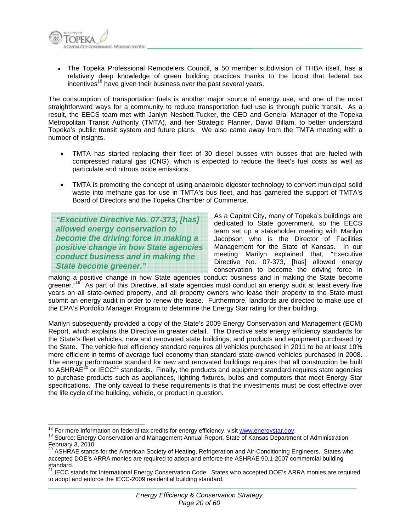

 The Topeka Professional Remodelers Council, a 50 member subdivision of THBA itself, has a relatively deep knowledge of green building practices thanks to the boost that federal tax incentives<sup>18</sup> have given their business over the past several years.

The consumption of transportation fuels is another major source of energy use, and one of the most straightforward ways for a community to reduce transportation fuel use is through public transit. As a result, the EECS team met with Janlyn Nesbett-Tucker, the CEO and General Manager of the Topeka Metropolitan Transit Authority (TMTA), and her Strategic Planner, David Billam, to better understand Topeka's public transit system and future plans. We also came away from the TMTA meeting with a number of insights.

- TMTA has started replacing their fleet of 30 diesel busses with busses that are fueled with compressed natural gas (CNG), which is expected to reduce the fleet's fuel costs as well as particulate and nitrous oxide emissions.
- TMTA is promoting the concept of using anaerobic digester technology to convert municipal solid waste into methane gas for use in TMTA's bus fleet, and has garnered the support of TMTA's Board of Directors and the Topeka Chamber of Commerce.

*"Executive Directive No. 07-373, [has] allowed energy conservation to become the driving force in making a positive change in how State agencies conduct business and in making the State become greener."* 

As a Capitol City, many of Topeka's buildings are dedicated to State government, so the EECS team set up a stakeholder meeting with Marilyn Jacobson who is the Director of Facilities Management for the State of Kansas. In our meeting Marilyn explained that, "Executive Directive No. 07-373, [has] allowed energy conservation to become the driving force in

making a positive change in how State agencies conduct business and in making the State become greener."<sup>19'</sup> As part of this Directive, all state agencies must conduct an energy audit at least every five years on all state-owned property, and all property owners who lease their property to the State must submit an energy audit in order to renew the lease. Furthermore, landlords are directed to make use of the EPA's Portfolio Manager Program to determine the Energy Star rating for their building.

Marilyn subsequently provided a copy of the State's 2009 Energy Conservation and Management (ECM) Report, which explains the Directive in greater detail. The Directive sets energy efficiency standards for the State's fleet vehicles, new and renovated state buildings, and products and equipment purchased by the State. The vehicle fuel efficiency standard requires all vehicles purchased in 2011 to be at least 10% more efficient in terms of average fuel economy than standard state-owned vehicles purchased in 2008. The energy performance standard for new and renovated buildings requires that all construction be built to ASHRAE $^{20}$  or IECC<sup>21</sup> standards. Finally, the products and equipment standard requires state agencies to purchase products such as appliances, lighting fixtures, bulbs and computers that meet Energy Star specifications. The only caveat to these requirements is that the investments must be cost effective over the life cycle of the building, vehicle, or product in question.

<sup>&</sup>lt;sup>18</sup> For more information on federal tax credits for energy efficiency, visit www.energystar.gov.<br><sup>19</sup> Source: Energy Conservation and Management Annual Report, State of Kansas Department of Administration, February 3, 2010.

<sup>20</sup> ASHRAE stands for the American Society of Heating, Refrigeration and Air-Conditioning Engineers. States who accepted DOE's ARRA monies are required to adopt and enforce the ASHRAE 90.1-2007 commercial building standard.

<sup>&</sup>lt;sup>21</sup> IECC stands for International Energy Conservation Code. States who accepted DOE's ARRA monies are required to adopt and enforce the IECC-2009 residential building standard.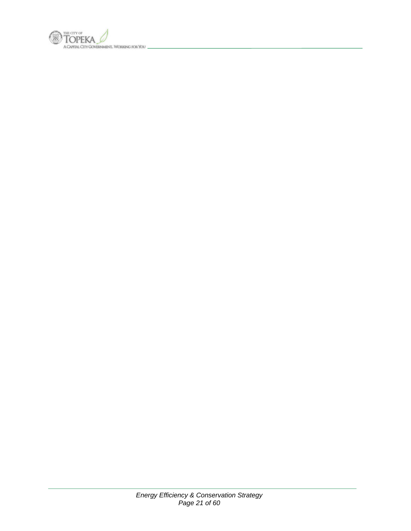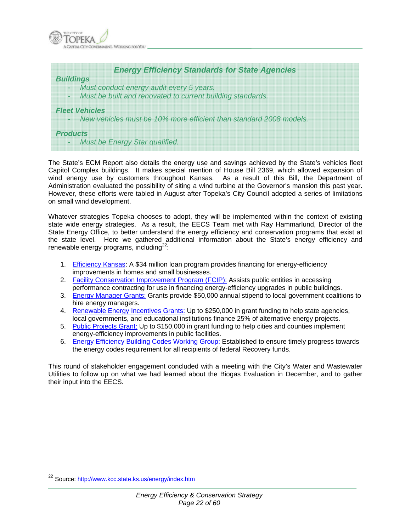

### *Energy Efficiency Standards for State Agencies*

#### *Buildings*

- *Must conduct energy audit every 5 years.* 

- *Must be built and renovated to current building standards.* 

#### *Fleet Vehicles*

- *New vehicles must be 10% more efficient than standard 2008 models.* 

#### *Products*

- *Must be Energy Star qualified.* 

The State's ECM Report also details the energy use and savings achieved by the State's vehicles fleet Capitol Complex buildings. It makes special mention of House Bill 2369, which allowed expansion of wind energy use by customers throughout Kansas. As a result of this Bill, the Department of Administration evaluated the possibility of siting a wind turbine at the Governor's mansion this past year. However, these efforts were tabled in August after Topeka's City Council adopted a series of limitations on small wind development.

Whatever strategies Topeka chooses to adopt, they will be implemented within the context of existing state wide energy strategies. As a result, the EECS Team met with Ray Hammarlund, Director of the State Energy Office, to better understand the energy efficiency and conservation programs that exist at the state level. Here we gathered additional information about the State's energy efficiency and renewable energy programs, including $^{22}$ :

- 1. Efficiency Kansas: A \$34 million loan program provides financing for energy-efficiency improvements in homes and small businesses.
- 2. Facility Conservation Improvement Program (FCIP): Assists public entities in accessing performance contracting for use in financing energy-efficiency upgrades in public buildings.
- 3. Energy Manager Grants: Grants provide \$50,000 annual stipend to local government coalitions to hire energy managers.
- 4. Renewable Energy Incentives Grants: Up to \$250,000 in grant funding to help state agencies, local governments, and educational institutions finance 25% of alternative energy projects.
- 5. Public Projects Grant: Up to \$150,000 in grant funding to help cities and counties implement energy-efficiency improvements in public facilities.
- 6. Energy Efficiency Building Codes Working Group: Established to ensure timely progress towards the energy codes requirement for all recipients of federal Recovery funds.

This round of stakeholder engagement concluded with a meeting with the City's Water and Wastewater Utilities to follow up on what we had learned about the Biogas Evaluation in December, and to gather their input into the EECS.

1

<sup>&</sup>lt;sup>22</sup> Source: http://www.kcc.state.ks.us/energy/index.htm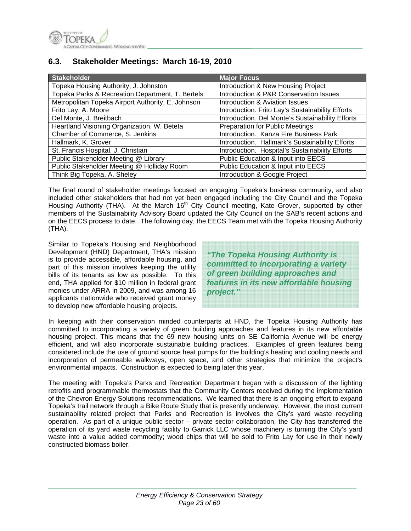

## **6.3. Stakeholder Meetings: March 16-19, 2010**

| <b>Stakeholder</b>                                | <b>Major Focus</b>                               |
|---------------------------------------------------|--------------------------------------------------|
| Topeka Housing Authority, J. Johnston             | Introduction & New Housing Project               |
| Topeka Parks & Recreation Department, T. Bertels  | Introduction & P&R Conservation Issues           |
| Metropolitan Topeka Airport Authority, E. Johnson | Introduction & Aviation Issues                   |
| Frito Lay, A. Moore                               | Introduction. Frito Lay's Sustainability Efforts |
| Del Monte, J. Breitbach                           | Introduction. Del Monte's Sustainability Efforts |
| Heartland Visioning Organization, W. Beteta       | <b>Preparation for Public Meetings</b>           |
| Chamber of Commerce, S. Jenkins                   | Introduction. Kanza Fire Business Park           |
| Hallmark, K. Grover                               | Introduction. Hallmark's Sustainability Efforts  |
| St. Francis Hospital, J. Christian                | Introduction. Hospital's Sustainability Efforts  |
| Public Stakeholder Meeting @ Library              | Public Education & Input into EECS               |
| Public Stakeholder Meeting @ Holliday Room        | Public Education & Input into EECS               |
| Think Big Topeka, A. Sheley                       | Introduction & Google Project                    |

The final round of stakeholder meetings focused on engaging Topeka's business community, and also included other stakeholders that had not yet been engaged including the City Council and the Topeka Housing Authority (THA). At the March 16th City Council meeting, Kate Grover, supported by other members of the Sustainability Advisory Board updated the City Council on the SAB's recent actions and on the EECS process to date. The following day, the EECS Team met with the Topeka Housing Authority (THA).

Similar to Topeka's Housing and Neighborhood Development (HND) Department, THA's mission is to provide accessible, affordable housing, and part of this mission involves keeping the utility bills of its tenants as low as possible. To this end, THA applied for \$10 million in federal grant monies under ARRA in 2009, and was among 16 applicants nationwide who received grant money to develop new affordable housing projects.

*"The Topeka Housing Authority is committed to incorporating a variety of green building approaches and features in its new affordable housing project."* 

In keeping with their conservation minded counterparts at HND, the Topeka Housing Authority has committed to incorporating a variety of green building approaches and features in its new affordable housing project. This means that the 69 new housing units on SE California Avenue will be energy efficient, and will also incorporate sustainable building practices. Examples of green features being considered include the use of ground source heat pumps for the building's heating and cooling needs and incorporation of permeable walkways, open space, and other strategies that minimize the project's environmental impacts. Construction is expected to being later this year.

The meeting with Topeka's Parks and Recreation Department began with a discussion of the lighting retrofits and programmable thermostats that the Community Centers received during the implementation of the Chevron Energy Solutions recommendations. We learned that there is an ongoing effort to expand Topeka's trail network through a Bike Route Study that is presently underway. However, the most current sustainability related project that Parks and Recreation is involves the City's yard waste recycling operation. As part of a unique public sector – private sector collaboration, the City has transferred the operation of its yard waste recycling facility to Garrick LLC whose machinery is turning the City's yard waste into a value added commodity; wood chips that will be sold to Frito Lay for use in their newly constructed biomass boiler.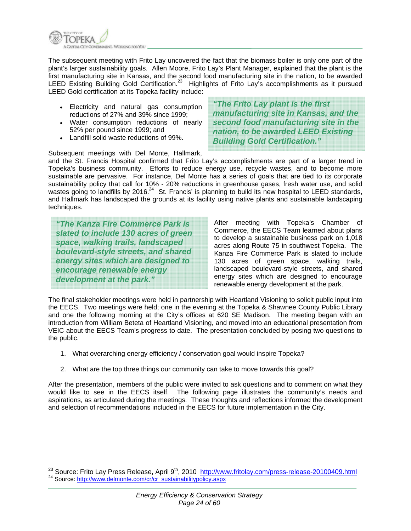

The subsequent meeting with Frito Lay uncovered the fact that the biomass boiler is only one part of the plant's larger sustainability goals. Allen Moore, Frito Lay's Plant Manager, explained that the plant is the first manufacturing site in Kansas, and the second food manufacturing site in the nation, to be awarded LEED Existing Building Gold Certification.<sup>23</sup> Highlights of Frito Lay's accomplishments as it pursued LEED Gold certification at its Topeka facility include:

 Electricity and natural gas consumption reductions of 27% and 39% since 1999;

- Water consumption reductions of nearly 52% per pound since 1999; and
- Landfill solid waste reductions of 99%.

*"The Frito Lay plant is the first manufacturing site in Kansas, and the second food manufacturing site in the nation, to be awarded LEED Existing Building Gold Certification."* 

Subsequent meetings with Del Monte, Hallmark,

and the St. Francis Hospital confirmed that Frito Lay's accomplishments are part of a larger trend in Topeka's business community. Efforts to reduce energy use, recycle wastes, and to become more sustainable are pervasive. For instance, Del Monte has a series of goals that are tied to its corporate sustainability policy that call for 10% - 20% reductions in greenhouse gases, fresh water use, and solid wastes going to landfills by 2016.<sup>24</sup> St. Francis' is planning to build its new hospital to LEED standards, and Hallmark has landscaped the grounds at its facility using native plants and sustainable landscaping techniques.

*"The Kanza Fire Commerce Park is slated to include 130 acres of green space, walking trails, landscaped boulevard-style streets, and shared energy sites which are designed to encourage renewable energy development at the park."* 

-

After meeting with Topeka's Chamber of Commerce, the EECS Team learned about plans to develop a sustainable business park on 1,018 acres along Route 75 in southwest Topeka. The Kanza Fire Commerce Park is slated to include 130 acres of green space, walking trails, landscaped boulevard-style streets, and shared energy sites which are designed to encourage renewable energy development at the park.

The final stakeholder meetings were held in partnership with Heartland Visioning to solicit public input into the EECS. Two meetings were held; one in the evening at the Topeka & Shawnee County Public Library and one the following morning at the City's offices at 620 SE Madison. The meeting began with an introduction from William Beteta of Heartland Visioning, and moved into an educational presentation from VEIC about the EECS Team's progress to date. The presentation concluded by posing two questions to the public.

- 1. What overarching energy efficiency / conservation goal would inspire Topeka?
- 2. What are the top three things our community can take to move towards this goal?

After the presentation, members of the public were invited to ask questions and to comment on what they would like to see in the EECS itself. The following page illustrates the community's needs and aspirations, as articulated during the meetings*.* These thoughts and reflections informed the development and selection of recommendations included in the EECS for future implementation in the City.

<sup>&</sup>lt;sup>23</sup> Source: Frito Lay Press Release, April 9<sup>th</sup>, 2010 http://www.fritolay.com/press-release-20100409.html <sup>24</sup> Source: http://www.delmonte.com/cr/cr\_sustainabilitypolicy.aspx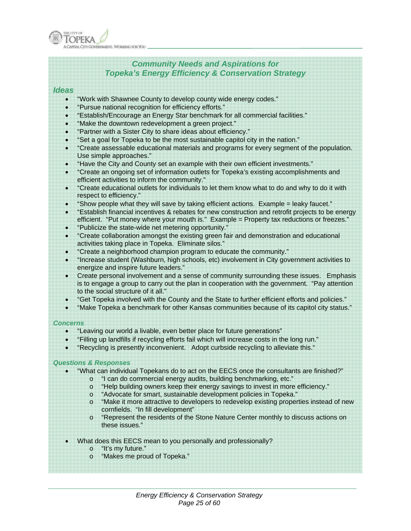

## *Community Needs and Aspirations for Topeka's Energy Efficiency & Conservation Strategy*

#### *Ideas*

- "Work with Shawnee County to develop county wide energy codes."
- "Pursue national recognition for efficiency efforts."
- "Establish/Encourage an Energy Star benchmark for all commercial facilities."
- "Make the downtown redevelopment a green project."
- "Partner with a Sister City to share ideas about efficiency."
- "Set a goal for Topeka to be the most sustainable capitol city in the nation."
- "Create assessable educational materials and programs for every segment of the population. Use simple approaches."
- "Have the City and County set an example with their own efficient investments."
- "Create an ongoing set of information outlets for Topeka's existing accomplishments and efficient activities to inform the community."
- "Create educational outlets for individuals to let them know what to do and why to do it with respect to efficiency."
- "Show people what they will save by taking efficient actions. Example = leaky faucet."
- "Establish financial incentives & rebates for new construction and retrofit projects to be energy efficient. "Put money where your mouth is." Example = Property tax reductions or freezes."
- "Publicize the state-wide net metering opportunity."
- "Create collaboration amongst the existing green fair and demonstration and educational activities taking place in Topeka. Eliminate silos."
- "Create a neighborhood champion program to educate the community."
- "Increase student (Washburn, high schools, etc) involvement in City government activities to energize and inspire future leaders."
- Create personal involvement and a sense of community surrounding these issues. Emphasis is to engage a group to carry out the plan in cooperation with the government. "Pay attention to the social structure of it all."
- "Get Topeka involved with the County and the State to further efficient efforts and policies."
- "Make Topeka a benchmark for other Kansas communities because of its capitol city status."

#### *Concerns*

- "Leaving our world a livable, even better place for future generations"
- "Filling up landfills if recycling efforts fail which will increase costs in the long run."
- "Recycling is presently inconvenient. Adopt curbside recycling to alleviate this."

#### *Questions & Responses*

- "What can individual Topekans do to act on the EECS once the consultants are finished?"
	- o "I can do commercial energy audits, building benchmarking, etc."
	- o "Help building owners keep their energy savings to invest in more efficiency."
	- o "Advocate for smart, sustainable development policies in Topeka."
	- o "Make it more attractive to developers to redevelop existing properties instead of new cornfields. "In fill development"
	- o "Represent the residents of the Stone Nature Center monthly to discuss actions on these issues."
- What does this EECS mean to you personally and professionally?
	-
	- o "It's my future."<br>اo "Makes me pro "Makes me proud of Topeka."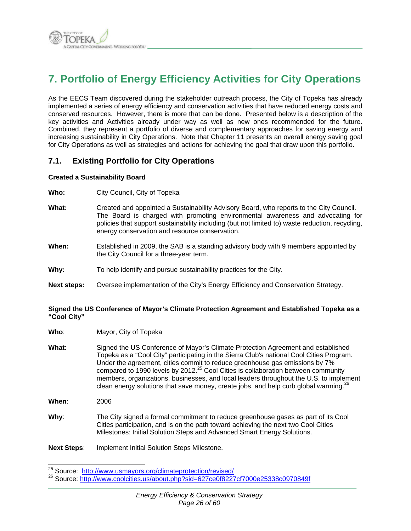

## **7. Portfolio of Energy Efficiency Activities for City Operations**

As the EECS Team discovered during the stakeholder outreach process, the City of Topeka has already implemented a series of energy efficiency and conservation activities that have reduced energy costs and conserved resources. However, there is more that can be done. Presented below is a description of the key activities and Activities already under way as well as new ones recommended for the future. Combined, they represent a portfolio of divers*e* and complementary approaches for saving energy and increasing sustainability in City Operations. Note that Chapter 11 presents an overall energy saving goal for City Operations as well as strategies and actions for achieving the goal that draw upon this portfolio.

## **7.1. Existing Portfolio for City Operations**

#### **Created a Sustainability Board**

- **Who:** City Council, City of Topeka
- **What:** Created and appointed a Sustainability Advisory Board, who reports to the City Council. The Board is charged with promoting environmental awareness and advocating for policies that support sustainability including (but not limited to) waste reduction, recycling, energy conservation and resource conservation.
- **When:** Established in 2009, the SAB is a standing advisory body with 9 members appointed by the City Council for a three-year term.
- **Why:** To help identify and pursue sustainability practices for the City.
- **Next steps:** Oversee implementation of the City's Energy Efficiency and Conservation Strategy.

#### **Signed the US Conference of Mayor's Climate Protection Agreement and Established Topeka as a "Cool City"**

- **Who**: Mayor, City of Topeka
- **What**: Signed the US Conference of Mayor's Climate Protection Agreement and established Topeka as a "Cool City" participating in the Sierra Club's national Cool Cities Program. Under the agreement, cities commit to reduce greenhouse gas emissions by 7% compared to 1990 levels by 2012.<sup>25</sup> Cool Cities is collaboration between community members, organizations, businesses, and local leaders throughout the U.S. to implement clean energy solutions that save money, create jobs, and help curb global warming.<sup>26</sup>
- **When**: 2006
- **Why**: The City signed a formal commitment to reduce greenhouse gases as part of its Cool Cities participation, and is on the path toward achieving the next two Cool Cities Milestones: Initial Solution Steps and Advanced Smart Energy Solutions.

**Next Steps**: Implement Initial Solution Steps Milestone.

<sup>&</sup>lt;sup>25</sup> Source: http://www.usmayors.org/climateprotection/revised/

<sup>&</sup>lt;sup>26</sup> Source: http://www.coolcities.us/about.php?sid=627ce0f8227cf7000e25338c0970849f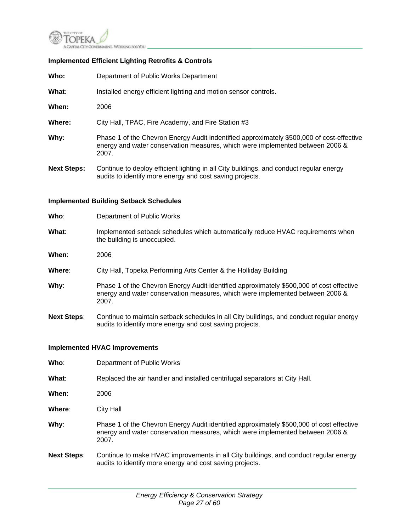

 A CAPITAL CITY GOVERNMENT. WORKING FOR YOU

#### **Implemented Efficient Lighting Retrofits & Controls**

| Who: | Department of Public Works Department |
|------|---------------------------------------|
|      |                                       |

What: Installed energy efficient lighting and motion sensor controls.

**When:** 2006

- **Where:** City Hall, TPAC, Fire Academy, and Fire Station #3
- **Why:** Phase 1 of the Chevron Energy Audit indentified approximately \$500,000 of cost-effective energy and water conservation measures, which were implemented between 2006 & 2007.
- **Next Steps:** Continue to deploy efficient lighting in all City buildings, and conduct regular energy audits to identify more energy and cost saving projects.

#### **Implemented Building Setback Schedules**

- **Who**: Department of Public Works
- **What**: Implemented setback schedules which automatically reduce HVAC requirements when the building is unoccupied.
- **When**: 2006
- **Where**: City Hall, Topeka Performing Arts Center & the Holliday Building
- Why: Phase 1 of the Chevron Energy Audit identified approximately \$500,000 of cost effective energy and water conservation measures, which were implemented between 2006 & 2007.
- **Next Steps**: Continue to maintain setback schedules in all City buildings, and conduct regular energy audits to identify more energy and cost saving projects.

#### **Implemented HVAC Improvements**

- **Who**: Department of Public Works
- **What**: Replaced the air handler and installed centrifugal separators at City Hall.
- **When**: 2006
- **Where**: City Hall
- **Why**: Phase 1 of the Chevron Energy Audit identified approximately \$500,000 of cost effective energy and water conservation measures, which were implemented between 2006 & 2007.
- **Next Steps**: Continue to make HVAC improvements in all City buildings, and conduct regular energy audits to identify more energy and cost saving projects.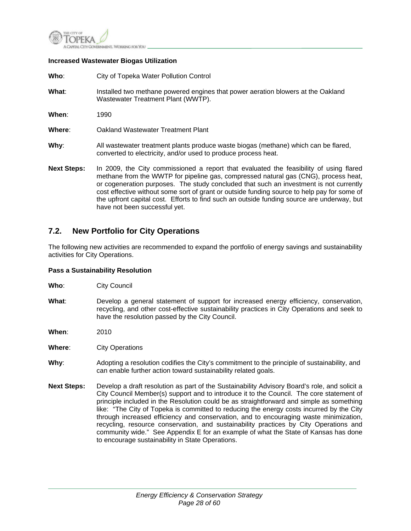

#### **Increased Wastewater Biogas Utilization**

|  | Who: | City of Topeka Water Pollution Control |  |
|--|------|----------------------------------------|--|
|--|------|----------------------------------------|--|

**What**: Installed two methane powered engines that power aeration blowers at the Oakland Wastewater Treatment Plant (WWTP).

**When**: 1990

**Where**: Oakland Wastewater Treatment Plant

- **Why**: All wastewater treatment plants produce waste biogas (methane) which can be flared, converted to electricity, and/or used to produce process heat.
- **Next Steps:** In 2009, the City commissioned a report that evaluated the feasibility of using flared methane from the WWTP for pipeline gas, compressed natural gas (CNG), process heat, or cogeneration purposes. The study concluded that such an investment is not currently cost effective without some sort of grant or outside funding source to help pay for some of the upfront capital cost. Efforts to find such an outside funding source are underway, but have not been successful yet.

### **7.2. New Portfolio for City Operations**

The following new activities are recommended to expand the portfolio of energy savings and sustainability activities for City Operations.

#### **Pass a Sustainability Resolution**

| <b>City Council</b> |
|---------------------|
|                     |

- **What**: Develop a general statement of support for increased energy efficiency, conservation, recycling, and other cost-effective sustainability practices in City Operations and seek to have the resolution passed by the City Council.
- **When**: 2010
- **Where:** City Operations
- **Why**: Adopting a resolution codifies the City's commitment to the principle of sustainability, and can enable further action toward sustainability related goals.
- **Next Steps:** Develop a draft resolution as part of the Sustainability Advisory Board's role, and solicit a City Council Member(s) support and to introduce it to the Council. The core statement of principle included in the Resolution could be as straightforward and simple as something like: "The City of Topeka is committed to reducing the energy costs incurred by the City through increased efficiency and conservation, and to encouraging waste minimization, recycling, resource conservation, and sustainability practices by City Operations and community wide." See Appendix E for an example of what the State of Kansas has done to encourage sustainability in State Operations.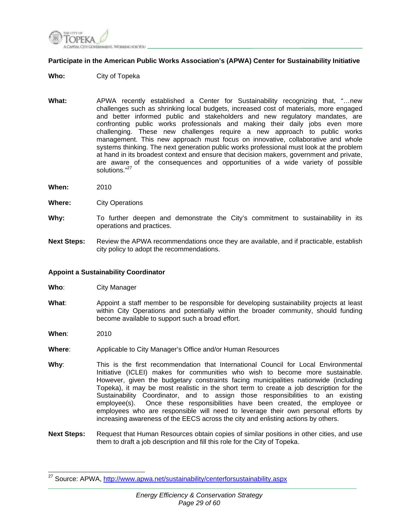

#### **Participate in the American Public Works Association's (APWA) Center for Sustainability Initiative**

- **Who:** City of Topeka
- **What:** APWA recently established a Center for Sustainability recognizing that, "…new challenges such as shrinking local budgets, increased cost of materials, more engaged and better informed public and stakeholders and new regulatory mandates, are confronting public works professionals and making their daily jobs even more challenging. These new challenges require a new approach to public works management. This new approach must focus on innovative, collaborative and whole systems thinking. The next generation public works professional must look at the problem at hand in its broadest context and ensure that decision makers, government and private, are aware of the consequences and opportunities of a wide variety of possible solutions."<sup>27</sup>
- **When:** 2010
- **Where:** City Operations
- **Why:** To further deepen and demonstrate the City's commitment to sustainability in its operations and practices.
- **Next Steps:** Review the APWA recommendations once they are available, and if practicable, establish city policy to adopt the recommendations.

#### **Appoint a Sustainability Coordinator**

- **Who**: City Manager
- **What:** Appoint a staff member to be responsible for developing sustainability projects at least within City Operations and potentially within the broader community, should funding become available to support such a broad effort.
- **When**: 2010

1

- **Where**: Applicable to City Manager's Office and/or Human Resources
- **Why**: This is the first recommendation that International Council for Local Environmental Initiative (ICLEI) makes for communities who wish to become more sustainable. However, given the budgetary constraints facing municipalities nationwide (including Topeka), it may be most realistic in the short term to create a job description for the Sustainability Coordinator, and to assign those responsibilities to an existing employee(s). Once these responsibilities have been created, the employee or employees who are responsible will need to leverage their own personal efforts by increasing awareness of the EECS across the city and enlisting actions by others.
- **Next Steps:** Request that Human Resources obtain copies of similar positions in other cities, and use them to draft a job description and fill this role for the City of Topeka.

<sup>&</sup>lt;sup>27</sup> Source: APWA, http://www.apwa.net/sustainability/centerforsustainability.aspx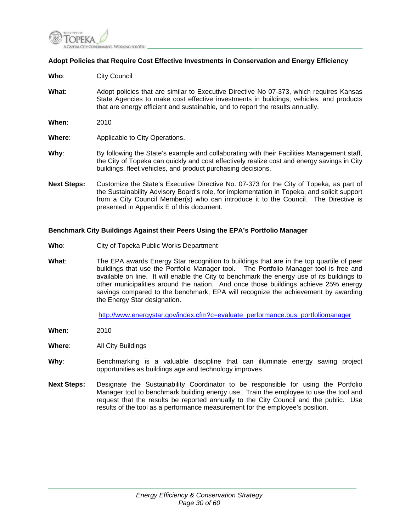

#### **Adopt Policies that Require Cost Effective Investments in Conservation and Energy Efficiency**

| Who:<br><b>City Council</b> |
|-----------------------------|
|-----------------------------|

- **What**: Adopt policies that are similar to Executive Directive No 07-373, which requires Kansas State Agencies to make cost effective investments in buildings, vehicles, and products that are energy efficient and sustainable, and to report the results annually.
- **When**: 2010
- **Where:** Applicable to City Operations.

- **Why**: By following the State's example and collaborating with their Facilities Management staff, the City of Topeka can quickly and cost effectively realize cost and energy savings in City buildings, fleet vehicles, and product purchasing decisions.
- **Next Steps:** Customize the State's Executive Directive No. 07-373 for the City of Topeka, as part of the Sustainability Advisory Board's role, for implementation in Topeka, and solicit support from a City Council Member(s) who can introduce it to the Council. The Directive is presented in Appendix E of this document.

#### **Benchmark City Buildings Against their Peers Using the EPA's Portfolio Manager**

- **Who**: City of Topeka Public Works Department
- **What**: The EPA awards Energy Star recognition to buildings that are in the top quartile of peer buildings that use the Portfolio Manager tool. The Portfolio Manager tool is free and available on line. It will enable the City to benchmark the energy use of its buildings to other municipalities around the nation. And once those buildings achieve 25% energy savings compared to the benchmark, EPA will recognize the achievement by awarding the Energy Star designation.

http://www.energystar.gov/index.cfm?c=evaluate\_performance.bus\_portfoliomanager

- **When**: 2010
- **Where**: All City Buildings
- **Why**: Benchmarking is a valuable discipline that can illuminate energy saving project opportunities as buildings age and technology improves.
- **Next Steps:** Designate the Sustainability Coordinator to be responsible for using the Portfolio Manager tool to benchmark building energy use. Train the employee to use the tool and request that the results be reported annually to the City Council and the public. Use results of the tool as a performance measurement for the employee's position.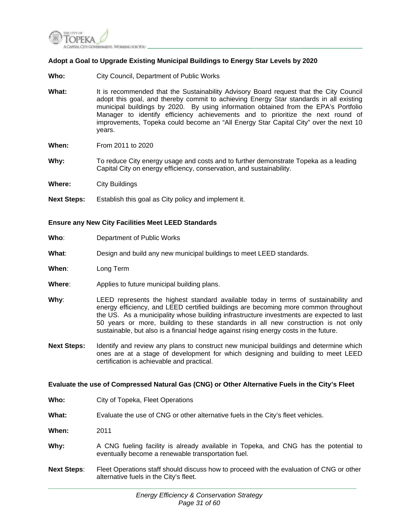

#### **Adopt a Goal to Upgrade Existing Municipal Buildings to Energy Star Levels by 2020**

**Who:** City Council, Department of Public Works

- What: It is recommended that the Sustainability Advisory Board request that the City Council adopt this goal, and thereby commit to achieving Energy Star standards in all existing municipal buildings by 2020. By using information obtained from the EPA's Portfolio Manager to identify efficiency achievements and to prioritize the next round of improvements, Topeka could become an "All Energy Star Capital City" over the next 10 years.
- **When:** From 2011 to 2020
- **Why:** To reduce City energy usage and costs and to further demonstrate Topeka as a leading Capital City on energy efficiency, conservation, and sustainability.
- **Where:** City Buildings
- **Next Steps:** Establish this goal as City policy and implement it.

#### **Ensure any New City Facilities Meet LEED Standards**

- **Who**: Department of Public Works
- **What**: Design and build any new municipal buildings to meet LEED standards.
- **When**: Long Term
- **Where:** Applies to future municipal building plans.
- **Why**: LEED represents the highest standard available today in terms of sustainability and energy efficiency, and LEED certified buildings are becoming more common throughout the US. As a municipality whose building infrastructure investments are expected to last 50 years or more, building to these standards in all new construction is not only sustainable, but also is a financial hedge against rising energy costs in the future.
- **Next Steps:** Identify and review any plans to construct new municipal buildings and determine which ones are at a stage of development for which designing and building to meet LEED certification is achievable and practical.

#### **Evaluate the use of Compressed Natural Gas (CNG) or Other Alternative Fuels in the City's Fleet**

- **Who:** City of Topeka, Fleet Operations
- **What:** Evaluate the use of CNG or other alternative fuels in the City's fleet vehicles.
- **When:** 2011
- **Why:** A CNG fueling facility is already available in Topeka, and CNG has the potential to eventually become a renewable transportation fuel.
- **Next Steps**: Fleet Operations staff should discuss how to proceed with the evaluation of CNG or other alternative fuels in the City's fleet.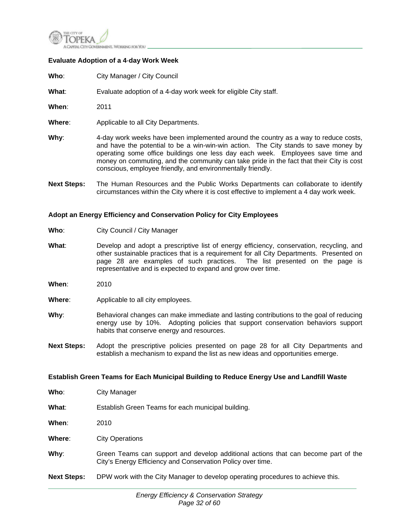

#### **Evaluate Adoption of a 4**-**day Work Week**

| Who:<br>City Manager / City Council |
|-------------------------------------|
|-------------------------------------|

**What**: Evaluate adoption of a 4-day work week for eligible City staff.

**When**: 2011

**Where**: Applicable to all City Departments.

- **Why**: 4-day work weeks have been implemented around the country as a way to reduce costs, and have the potential to be a win-win-win action. The City stands to save money by operating some office buildings one less day each week. Employees save time and money on commuting, and the community can take pride in the fact that their City is cost conscious, employee friendly, and environmentally friendly.
- **Next Steps:** The Human Resources and the Public Works Departments can collaborate to identify circumstances within the City where it is cost effective to implement a 4 day work week.

#### **Adopt an Energy Efficiency and Conservation Policy for City Employees**

- **Who**: City Council / City Manager
- **What**: Develop and adopt a prescriptive list of energy efficiency, conservation, recycling, and other sustainable practices that is a requirement for all City Departments. Presented on page 28 are examples of such practices. The list presented on the page is representative and is expected to expand and grow over time.
- **When**: 2010
- **Where:** Applicable to all city employees.
- **Why:** Behavioral changes can make immediate and lasting contributions to the goal of reducing energy use by 10%. Adopting policies that support conservation behaviors support habits that conserve energy and resources.
- **Next Steps:** Adopt the prescriptive policies presented on page 28 for all City Departments and establish a mechanism to expand the list as new ideas and opportunities emerge.

#### **Establish Green Teams for Each Municipal Building to Reduce Energy Use and Landfill Waste**

- **Who**: City Manager
- **What**: Establish Green Teams for each municipal building.

**When**: 2010

- **Where:** City Operations
- **Why**: Green Teams can support and develop additional actions that can become part of the City's Energy Efficiency and Conservation Policy over time.
- **Next Steps:** DPW work with the City Manager to develop operating procedures to achieve this.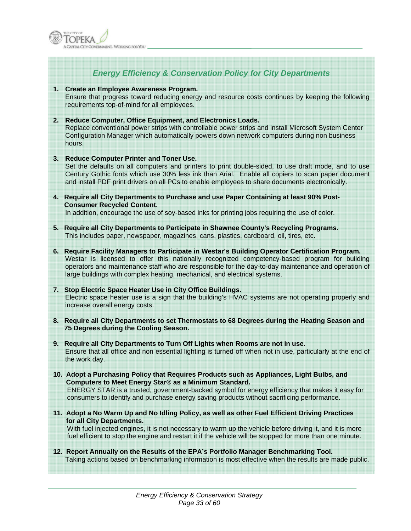

....................

|    | <b>Energy Efficiency &amp; Conservation Policy for City Departments</b>                                                                                                                                                                                                                                                                                                              |
|----|--------------------------------------------------------------------------------------------------------------------------------------------------------------------------------------------------------------------------------------------------------------------------------------------------------------------------------------------------------------------------------------|
|    | 1. Create an Employee Awareness Program.<br>Ensure that progress toward reducing energy and resource costs continues by keeping the following<br>requirements top-of-mind for all employees.                                                                                                                                                                                         |
| 2. | Reduce Computer, Office Equipment, and Electronics Loads.<br>Replace conventional power strips with controllable power strips and install Microsoft System Center<br>Configuration Manager which automatically powers down network computers during non business<br>hours.                                                                                                           |
|    | 3. Reduce Computer Printer and Toner Use.<br>Set the defaults on all computers and printers to print double-sided, to use draft mode, and to use<br>Century Gothic fonts which use 30% less ink than Arial. Enable all copiers to scan paper document<br>and install PDF print drivers on all PCs to enable employees to share documents electronically.                             |
|    | 4. Require all City Departments to Purchase and use Paper Containing at least 90% Post-<br><b>Consumer Recycled Content.</b><br>In addition, encourage the use of soy-based inks for printing jobs requiring the use of color.                                                                                                                                                       |
|    | 5. Require all City Departments to Participate in Shawnee County's Recycling Programs.<br>This includes paper, newspaper, magazines, cans, plastics, cardboard, oil, tires, etc.                                                                                                                                                                                                     |
|    | 6. Require Facility Managers to Participate in Westar's Building Operator Certification Program.<br>Westar is licensed to offer this nationally recognized competency-based program for building<br>operators and maintenance staff who are responsible for the day-to-day maintenance and operation of<br>large buildings with complex heating, mechanical, and electrical systems. |
|    | 7. Stop Electric Space Heater Use in City Office Buildings.<br>Electric space heater use is a sign that the building's HVAC systems are not operating properly and<br>increase overall energy costs.                                                                                                                                                                                 |
|    | 8. Require all City Departments to set Thermostats to 68 Degrees during the Heating Season and<br>75 Degrees during the Cooling Season.                                                                                                                                                                                                                                              |
|    | 9. Require all City Departments to Turn Off Lights when Rooms are not in use.<br>Ensure that all office and non essential lighting is turned off when not in use, particularly at the end of<br>the work day.                                                                                                                                                                        |
|    | 10. Adopt a Purchasing Policy that Requires Products such as Appliances, Light Bulbs, and<br>Computers to Meet Energy Star® as a Minimum Standard.<br>ENERGY STAR is a trusted, government-backed symbol for energy efficiency that makes it easy for<br>consumers to identify and purchase energy saving products without sacrificing performance.                                  |
|    | 11. Adopt a No Warm Up and No Idling Policy, as well as other Fuel Efficient Driving Practices<br>for all City Departments.<br>With fuel injected engines, it is not necessary to warm up the vehicle before driving it, and it is more<br>fuel efficient to stop the engine and restart it if the vehicle will be stopped for more than one minute.                                 |
|    | 12. Report Annually on the Results of the EPA's Portfolio Manager Benchmarking Tool.<br>Taking actions based on benchmarking information is most effective when the results are made public.                                                                                                                                                                                         |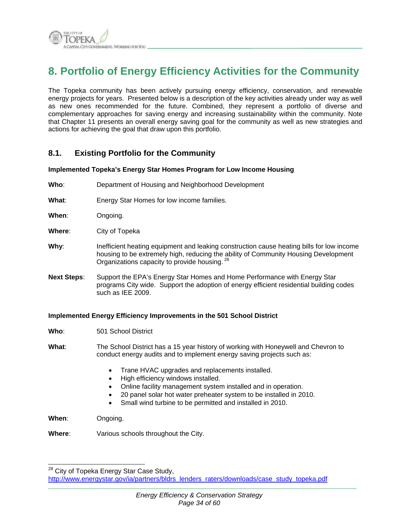

## **8. Portfolio of Energy Efficiency Activities for the Community**

The Topeka community has been actively pursuing energy efficiency, conservation, and renewable energy projects for years. Presented below is a description of the key activities already under way as well as new ones recommended for the future. Combined, they represent a portfolio of divers*e* and complementary approaches for saving energy and increasing sustainability within the community. Note that Chapter 11 presents an overall energy saving goal for the community as well as new strategies and actions for achieving the goal that draw upon this portfolio.

## **8.1. Existing Portfolio for the Community**

#### **Implemented Topeka's Energy Star Homes Program for Low Income Housing**

- **Who**: Department of Housing and Neighborhood Development
- **What**: Energy Star Homes for low income families.
- **When**: Ongoing.
- **Where:** City of Topeka
- **Why**: Inefficient heating equipment and leaking construction cause heating bills for low income housing to be extremely high, reducing the ability of Community Housing Development Organizations capacity to provide housing. 28
- **Next Steps**: Support the EPA's Energy Star Homes and Home Performance with Energy Star programs City wide. Support the adoption of energy efficient residential building codes such as IEE 2009.

#### **Implemented Energy Efficiency Improvements in the 501 School District**

- Who: 501 School District
- **What**: The School District has a 15 year history of working with Honeywell and Chevron to conduct energy audits and to implement energy saving projects such as:
	- Trane HVAC upgrades and replacements installed.
	- High efficiency windows installed.
	- Online facility management system installed and in operation.
	- 20 panel solar hot water preheater system to be installed in 2010.
	- Small wind turbine to be permitted and installed in 2010.

**When**: Ongoing.

l

**Where**: Various schools throughout the City.

City of Topeka Energy Star Case Study, http://www.energystar.gov/ia/partners/bldrs\_lenders\_raters/downloads/case\_study\_topeka.pdf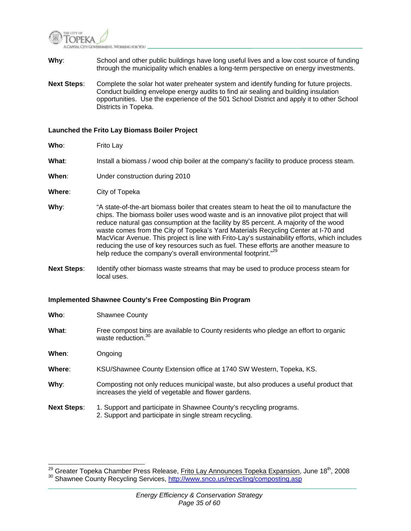

**Why**: School and other public buildings have long useful lives and a low cost source of funding through the municipality which enables a long-term perspective on energy investments.

**Next Steps**: Complete the solar hot water preheater system and identify funding for future projects. Conduct building envelope energy audits to find air sealing and building insulation opportunities. Use the experience of the 501 School District and apply it to other School Districts in Topeka.

#### **Launched the Frito Lay Biomass Boiler Project**

- Who: Frito Lay
- **What**: Install a biomass / wood chip boiler at the company's facility to produce process steam.
- **When**: Under construction during 2010
- **Where:** City of Topeka
- **Why**: "A state-of-the-art biomass boiler that creates steam to heat the oil to manufacture the chips. The biomass boiler uses wood waste and is an innovative pilot project that will reduce natural gas consumption at the facility by 85 percent. A majority of the wood waste comes from the City of Topeka's Yard Materials Recycling Center at I-70 and MacVicar Avenue. This project is line with Frito-Lay's sustainability efforts, which includes reducing the use of key resources such as fuel. These efforts are another measure to help reduce the company's overall environmental footprint."<sup>29</sup>
- **Next Steps**: Identify other biomass waste streams that may be used to produce process steam for local uses.

#### **Implemented Shawnee County's Free Composting Bin Program**

**Who**: Shawnee County

- **What**: Free compost bins are available to County residents who pledge an effort to organic waste reduction.<sup>30</sup>
- **When**: Ongoing

1

- **Where**: KSU/Shawnee County Extension office at 1740 SW Western, Topeka, KS.
- **Why**: Composting not only reduces municipal waste, but also produces a useful product that increases the yield of vegetable and flower gardens.
- **Next Steps:** 1. Support and participate in Shawnee County's recycling programs. 2. Support and participate in single stream recycling.

<sup>&</sup>lt;sup>29</sup> Greater Topeka Chamber Press Release, <u>Frito Lay Announces Topeka Expansion</u>, June 18<sup>th</sup>, 2008

<sup>&</sup>lt;sup>30</sup> Shawnee County Recycling Services, http://www.snco.us/recycling/composting.asp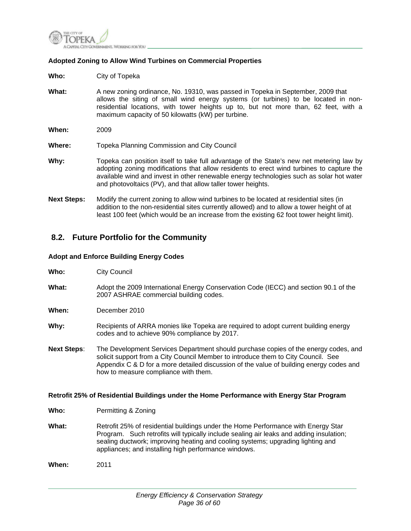

#### **Adopted Zoning to Allow Wind Turbines on Commercial Properties**

**Who:** City of Topeka

- **What:** A new zoning ordinance, No. 19310, was passed in Topeka in September, 2009 that allows the siting of small wind energy systems (or turbines) to be located in nonresidential locations, with tower heights up to, but not more than, 62 feet, with a maximum capacity of 50 kilowatts (kW) per turbine.
- **When:** 2009
- **Where:** Topeka Planning Commission and City Council
- **Why:** Topeka can position itself to take full advantage of the State's new net metering law by adopting zoning modifications that allow residents to erect wind turbines to capture the available wind and invest in other renewable energy technologies such as solar hot water and photovoltaics (PV), and that allow taller tower heights.
- **Next Steps:** Modify the current zoning to allow wind turbines to be located at residential sites (in addition to the non-residential sites currently allowed) and to allow a tower height of at least 100 feet (which would be an increase from the existing 62 foot tower height limit).

## **8.2. Future Portfolio for the Community**

#### **Adopt and Enforce Building Energy Codes**

**Who:** City Council

- **What:** Adopt the 2009 International Energy Conservation Code (IECC) and section 90.1 of the 2007 ASHRAE commercial building codes.
- **When:** December 2010
- **Why:** Recipients of ARRA monies like Topeka are required to adopt current building energy codes and to achieve 90% compliance by 2017.
- **Next Steps**: The Development Services Department should purchase copies of the energy codes, and solicit support from a City Council Member to introduce them to City Council. See Appendix C & D for a more detailed discussion of the value of building energy codes and how to measure compliance with them.

#### **Retrofit 25% of Residential Buildings under the Home Performance with Energy Star Program**

- **Who:** Permitting & Zoning
- **What:** Retrofit 25% of residential buildings under the Home Performance with Energy Star Program. Such retrofits will typically include sealing air leaks and adding insulation; sealing ductwork; improving heating and cooling systems; upgrading lighting and appliances; and installing high performance windows.

**When:** 2011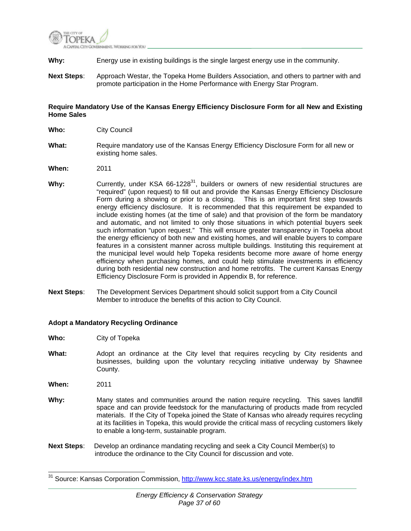

**Why:** Energy use in existing buildings is the single largest energy use in the community.

**Next Steps**: Approach Westar, the Topeka Home Builders Association, and others to partner with and promote participation in the Home Performance with Energy Star Program.

#### **Require Mandatory Use of the Kansas Energy Efficiency Disclosure Form for all New and Existing Home Sales**

- **Who:** City Council
- **What:** Require mandatory use of the Kansas Energy Efficiency Disclosure Form for all new or existing home sales.
- **When:** 2011
- Why: Currently, under KSA 66-1228<sup>31</sup>, builders or owners of new residential structures are "required" (upon request) to fill out and provide the Kansas Energy Efficiency Disclosure Form during a showing or prior to a closing. This is an important first step towards energy efficiency disclosure. It is recommended that this requirement be expanded to include existing homes (at the time of sale) and that provision of the form be mandatory and automatic, and not limited to only those situations in which potential buyers seek such information "upon request." This will ensure greater transparency in Topeka about the energy efficiency of both new and existing homes, and will enable buyers to compare features in a consistent manner across multiple buildings. Instituting this requirement at the municipal level would help Topeka residents become more aware of home energy efficiency when purchasing homes, and could help stimulate investments in efficiency during both residential new construction and home retrofits. The current Kansas Energy Efficiency Disclosure Form is provided in Appendix B, for reference.
- **Next Steps**: The Development Services Department should solicit support from a City Council Member to introduce the benefits of this action to City Council.

#### **Adopt a Mandatory Recycling Ordinance**

- **Who:** City of Topeka
- **What:** Adopt an ordinance at the City level that requires recycling by City residents and businesses, building upon the voluntary recycling initiative underway by Shawnee County.
- **When:** 2011

l

- **Why:** Many states and communities around the nation require recycling. This saves landfill space and can provide feedstock for the manufacturing of products made from recycled materials. If the City of Topeka joined the State of Kansas who already requires recycling at its facilities in Topeka, this would provide the critical mass of recycling customers likely to enable a long-term, sustainable program.
- **Next Steps**: Develop an ordinance mandating recycling and seek a City Council Member(s) to introduce the ordinance to the City Council for discussion and vote.

Source: Kansas Corporation Commission, http://www.kcc.state.ks.us/energy/index.htm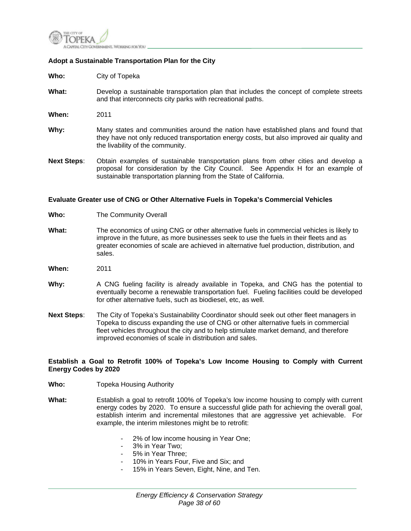

#### **Adopt a Sustainable Transportation Plan for the City**

| Who: | City of Topeka |
|------|----------------|
|      |                |

- **What:** Develop a sustainable transportation plan that includes the concept of complete streets and that interconnects city parks with recreational paths.
- **When:** 2011
- **Why:** Many states and communities around the nation have established plans and found that they have not only reduced transportation energy costs, but also improved air quality and the livability of the community.
- **Next Steps**: Obtain examples of sustainable transportation plans from other cities and develop a proposal for consideration by the City Council. See Appendix H for an example of sustainable transportation planning from the State of California.

#### **Evaluate Greater use of CNG or Other Alternative Fuels in Topeka's Commercial Vehicles**

- **Who:** The Community Overall
- **What:** The economics of using CNG or other alternative fuels in commercial vehicles is likely to improve in the future, as more businesses seek to use the fuels in their fleets and as greater economies of scale are achieved in alternative fuel production, distribution, and sales.
- **When:** 2011
- **Why:** A CNG fueling facility is already available in Topeka, and CNG has the potential to eventually become a renewable transportation fuel. Fueling facilities could be developed for other alternative fuels, such as biodiesel, etc, as well.
- **Next Steps**: The City of Topeka's Sustainability Coordinator should seek out other fleet managers in Topeka to discuss expanding the use of CNG or other alternative fuels in commercial fleet vehicles throughout the city and to help stimulate market demand, and therefore improved economies of scale in distribution and sales.

#### **Establish a Goal to Retrofit 100% of Topeka's Low Income Housing to Comply with Current Energy Codes by 2020**

- **Who:** Topeka Housing Authority
- **What:** Establish a goal to retrofit 100% of Topeka's low income housing to comply with current energy codes by 2020. To ensure a successful glide path for achieving the overall goal, establish interim and incremental milestones that are aggressive yet achievable. For example, the interim milestones might be to retrofit:
	- 2% of low income housing in Year One;
	- 3% in Year Two:
	- 5% in Year Three;
	- 10% in Years Four, Five and Six; and
	- 15% in Years Seven, Eight, Nine, and Ten.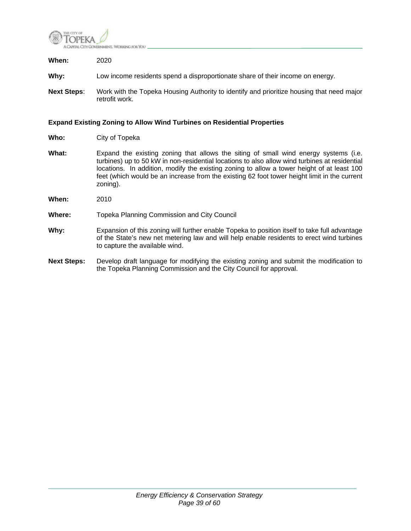

| When:              | 2020                                                                                                        |
|--------------------|-------------------------------------------------------------------------------------------------------------|
| Why:               | Low income residents spend a disproportionate share of their income on energy.                              |
| <b>Next Steps:</b> | Work with the Topeka Housing Authority to identify and prioritize housing that need major<br>retrofit work. |

#### **Expand Existing Zoning to Allow Wind Turbines on Residential Properties**

**Who:** City of Topeka

- What: Expand the existing zoning that allows the siting of small wind energy systems (i.e. turbines) up to 50 kW in non-residential locations to also allow wind turbines at residential locations. In addition, modify the existing zoning to allow a tower height of at least 100 feet (which would be an increase from the existing 62 foot tower height limit in the current zoning).
- **When:** 2010
- **Where:** Topeka Planning Commission and City Council
- **Why:** Expansion of this zoning will further enable Topeka to position itself to take full advantage of the State's new net metering law and will help enable residents to erect wind turbines to capture the available wind.
- **Next Steps:** Develop draft language for modifying the existing zoning and submit the modification to the Topeka Planning Commission and the City Council for approval.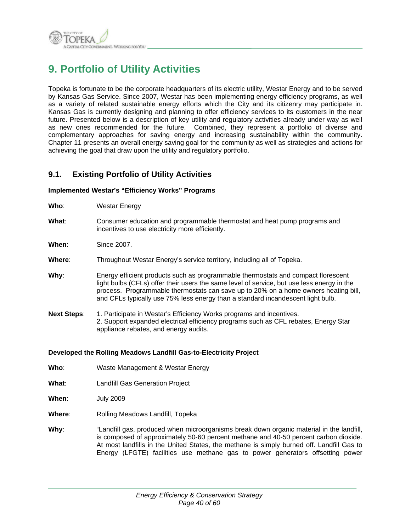

## **9. Portfolio of Utility Activities**

Topeka is fortunate to be the corporate headquarters of its electric utility, Westar Energy and to be served by Kansas Gas Service. Since 2007, Westar has been implementing energy efficiency programs, as well as a variety of related sustainable energy efforts which the City and its citizenry may participate in. Kansas Gas is currently designing and planning to offer efficiency services to its customers in the near future. Presented below is a description of key utility and regulatory activities already under way as well as new ones recommended for the future. Combined, they represent a portfolio of divers*e* and complementary approaches for saving energy and increasing sustainability within the community. Chapter 11 presents an overall energy saving goal for the community as well as strategies and actions for achieving the goal that draw upon the utility and regulatory portfolio.

## **9.1. Existing Portfolio of Utility Activities**

#### **Implemented Westar's "Efficiency Works" Programs**

| Who:               | Westar Energy                                                                                                                                                                                                                                                                                                                                             |
|--------------------|-----------------------------------------------------------------------------------------------------------------------------------------------------------------------------------------------------------------------------------------------------------------------------------------------------------------------------------------------------------|
| What:              | Consumer education and programmable thermostat and heat pump programs and<br>incentives to use electricity more efficiently.                                                                                                                                                                                                                              |
| When∶              | Since 2007.                                                                                                                                                                                                                                                                                                                                               |
| Where:             | Throughout Westar Energy's service territory, including all of Topeka.                                                                                                                                                                                                                                                                                    |
| Why:               | Energy efficient products such as programmable thermostats and compact florescent<br>light bulbs (CFLs) offer their users the same level of service, but use less energy in the<br>process. Programmable thermostats can save up to 20% on a home owners heating bill,<br>and CFLs typically use 75% less energy than a standard incandescent light bulb. |
| <b>Next Steps:</b> | 1. Participate in Westar's Efficiency Works programs and incentives.                                                                                                                                                                                                                                                                                      |

2. Support expanded electrical efficiency programs such as CFL rebates, Energy Star appliance rebates, and energy audits.

#### **Developed the Rolling Meadows Landfill Gas-to-Electricity Project**

- **Who**: Waste Management & Westar Energy
- **What**: Landfill Gas Generation Project
- **When**: July 2009
- **Where:** Rolling Meadows Landfill, Topeka
- **Why**: "Landfill gas, produced when microorganisms break down organic material in the landfill, is composed of approximately 50-60 percent methane and 40-50 percent carbon dioxide. At most landfills in the United States, the methane is simply burned off. Landfill Gas to Energy (LFGTE) facilities use methane gas to power generators offsetting power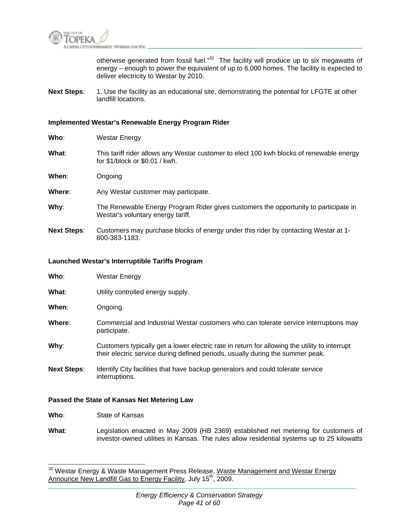

otherwise generated from fossil fuel."<sup>32</sup> The facility will produce up to six megawatts of energy – enough to power the equivalent of up to 6,000 homes. The facility is expected to deliver electricity to Westar by 2010.

**Next Steps**: 1. Use the facility as an educational site, demonstrating the potential for LFGTE at other landfill locations.

#### **Implemented Westar's Renewable Energy Program Rider**

| Who: | <b>Westar Energy</b> |
|------|----------------------|
|------|----------------------|

- **What**: This tariff rider allows any Westar customer to elect 100 kwh blocks of renewable energy for \$1/block or \$0.01 / kwh.
- **When**: Ongoing
- **Where**: Any Westar customer may participate.
- **Why**: The Renewable Energy Program Rider gives customers the opportunity to participate in Westar's voluntary energy tariff.
- **Next Steps**: Customers may purchase blocks of energy under this rider by contacting Westar at 1- 800-383-1183.

#### **Launched Westar's Interruptible Tariffs Program**

| Who:               | Westar Energy                                                                                                                                                                   |
|--------------------|---------------------------------------------------------------------------------------------------------------------------------------------------------------------------------|
| What:              | Utility controlled energy supply.                                                                                                                                               |
| When:              | Ongoing.                                                                                                                                                                        |
| Where:             | Commercial and Industrial Westar customers who can tolerate service interruptions may<br>participate.                                                                           |
| Why:               | Customers typically get a lower electric rate in return for allowing the utility to interrupt<br>their electric service during defined periods, usually during the summer peak. |
| <b>Next Steps:</b> | Identify City facilities that have backup generators and could tolerate service<br>interruptions.                                                                               |
|                    | Passed the State of Kansas Net Metering Law                                                                                                                                     |

**Who**: State of Kansas

l

**What**: Legislation enacted in May 2009 (HB 2369) established net metering for customers of investor-owned utilities in Kansas. The rules allow residential systems up to 25 kilowatts

 $32$  Westar Energy & Waste Management Press Release, Waste Management and Westar Energy Announce New Landfill Gas to Energy Facility, July 15<sup>th</sup>, 2009.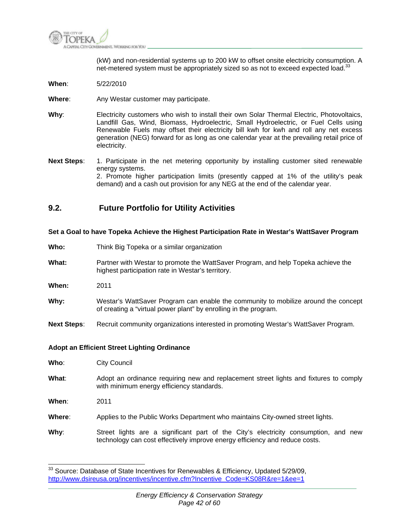

(kW) and non-residential systems up to 200 kW to offset onsite electricity consumption. A net-metered system must be appropriately sized so as not to exceed expected load.<sup>33</sup>

**When**: 5/22/2010

**Where:** Any Westar customer may participate.

- **Why**: Electricity customers who wish to install their own Solar Thermal Electric, Photovoltaics, Landfill Gas, Wind, Biomass, Hydroelectric, Small Hydroelectric, or Fuel Cells using Renewable Fuels may offset their electricity bill kwh for kwh and roll any net excess generation (NEG) forward for as long as one calendar year at the prevailing retail price of electricity.
- **Next Steps**: 1. Participate in the net metering opportunity by installing customer sited renewable energy systems. 2. Promote higher participation limits (presently capped at 1% of the utility's peak demand) and a cash out provision for any NEG at the end of the calendar year.

## **9.2. Future Portfolio for Utility Activities**

#### **Set a Goal to have Topeka Achieve the Highest Participation Rate in Westar's WattSaver Program**

- **Who:** Think Big Topeka or a similar organization
- **What:** Partner with Westar to promote the WattSaver Program, and help Topeka achieve the highest participation rate in Westar's territory.
- **When:** 2011
- **Why:** Westar's WattSaver Program can enable the community to mobilize around the concept of creating a "virtual power plant" by enrolling in the program.
- **Next Steps:** Recruit community organizations interested in promoting Westar's WattSaver Program.

#### **Adopt an Efficient Street Lighting Ordinance**

**Who:** City Council

- **What**: Adopt an ordinance requiring new and replacement street lights and fixtures to comply with minimum energy efficiency standards.
- **When**: 2011

l

- **Where**: Applies to the Public Works Department who maintains City-owned street lights.
- **Why**: Street lights are a significant part of the City's electricity consumption, and new technology can cost effectively improve energy efficiency and reduce costs.

 $33$  Source: Database of State Incentives for Renewables & Efficiency, Updated 5/29/09, http://www.dsireusa.org/incentives/incentive.cfm?Incentive\_Code=KS08R&re=1&ee=1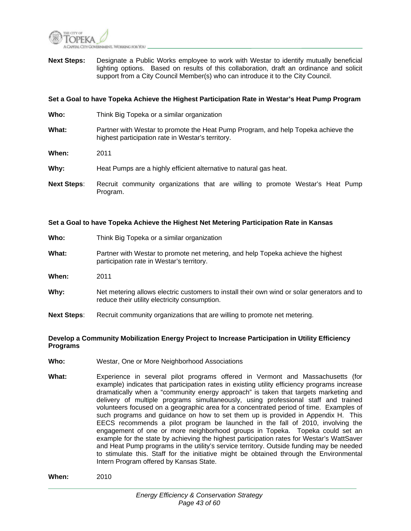

**Next Steps:** Designate a Public Works employee to work with Westar to identify mutually beneficial lighting options. Based on results of this collaboration, draft an ordinance and solicit support from a City Council Member(s) who can introduce it to the City Council.

#### **Set a Goal to have Topeka Achieve the Highest Participation Rate in Westar's Heat Pump Program**

**Who:** Think Big Topeka or a similar organization

- **What:** Partner with Westar to promote the Heat Pump Program, and help Topeka achieve the highest participation rate in Westar's territory.
- **When:** 2011
- **Why:** Heat Pumps are a highly efficient alternative to natural gas heat.
- **Next Steps**: Recruit community organizations that are willing to promote Westar's Heat Pump Program.

#### **Set a Goal to have Topeka Achieve the Highest Net Metering Participation Rate in Kansas**

| Who:               | Think Big Topeka or a similar organization                                                                                                   |
|--------------------|----------------------------------------------------------------------------------------------------------------------------------------------|
| What:              | Partner with Westar to promote net metering, and help Topeka achieve the highest<br>participation rate in Westar's territory.                |
| When:              | 2011                                                                                                                                         |
| Why:               | Net metering allows electric customers to install their own wind or solar generators and to<br>reduce their utility electricity consumption. |
| <b>Next Steps:</b> | Recruit community organizations that are willing to promote net metering.                                                                    |

#### **Develop a Community Mobilization Energy Project to Increase Participation in Utility Efficiency Programs**

- **Who:** Westar, One or More Neighborhood Associations
- **What:** Experience in several pilot programs offered in Vermont and Massachusetts (for example) indicates that participation rates in existing utility efficiency programs increase dramatically when a "community energy approach" is taken that targets marketing and delivery of multiple programs simultaneously, using professional staff and trained volunteers focused on a geographic area for a concentrated period of time. Examples of such programs and guidance on how to set them up is provided in Appendix H. This EECS recommends a pilot program be launched in the fall of 2010, involving the engagement of one or more neighborhood groups in Topeka. Topeka could set an example for the state by achieving the highest participation rates for Westar's WattSaver and Heat Pump programs in the utility's service territory. Outside funding may be needed to stimulate this. Staff for the initiative might be obtained through the Environmental Intern Program offered by Kansas State.
- **When:** 2010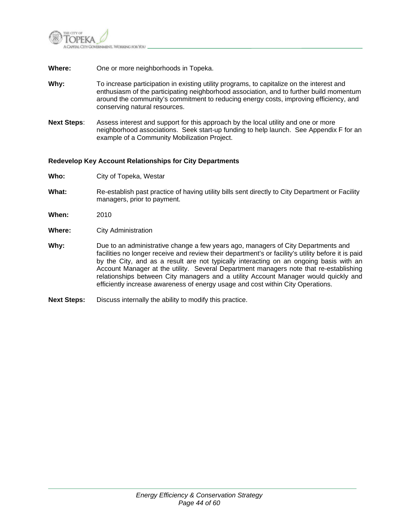

**Where:** One or more neighborhoods in Topeka.

- **Why:** To increase participation in existing utility programs, to capitalize on the interest and enthusiasm of the participating neighborhood association, and to further build momentum around the community's commitment to reducing energy costs, improving efficiency, and conserving natural resources.
- **Next Steps**: Assess interest and support for this approach by the local utility and one or more neighborhood associations. Seek start-up funding to help launch. See Appendix F for an example of a Community Mobilization Project.

#### **Redevelop Key Account Relationships for City Departments**

- **Who:** City of Topeka, Westar
- What: Re-establish past practice of having utility bills sent directly to City Department or Facility managers, prior to payment.
- **When:** 2010
- **Where:** City Administration
- **Why:** Due to an administrative change a few years ago, managers of City Departments and facilities no longer receive and review their department's or facility's utility before it is paid by the City, and as a result are not typically interacting on an ongoing basis with an Account Manager at the utility. Several Department managers note that re-establishing relationships between City managers and a utility Account Manager would quickly and efficiently increase awareness of energy usage and cost within City Operations.
- **Next Steps:** Discuss internally the ability to modify this practice.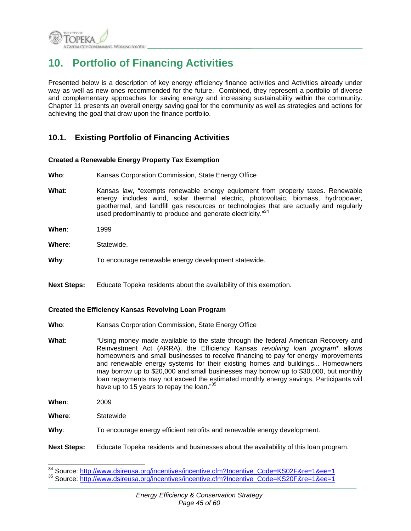

## **10. Portfolio of Financing Activities**

Presented below is a description of key energy efficiency finance activities and Activities already under way as well as new ones recommended for the future. Combined, they represent a portfolio of divers*e*  and complementary approaches for saving energy and increasing sustainability within the community. Chapter 11 presents an overall energy saving goal for the community as well as strategies and actions for achieving the goal that draw upon the finance portfolio.

## **10.1. Existing Portfolio of Financing Activities**

#### **Created a Renewable Energy Property Tax Exemption**

- **Who**: Kansas Corporation Commission, State Energy Office
- **What:** Kansas law, "exempts renewable energy equipment from property taxes. Renewable energy includes wind, solar thermal electric, photovoltaic, biomass, hydropower, geothermal, and landfill gas resources or technologies that are actually and regularly used predominantly to produce and generate electricity."34
- **When**: 1999
- **Where**: Statewide.
- **Why**: To encourage renewable energy development statewide.
- **Next Steps:** Educate Topeka residents about the availability of this exemption.

#### **Created the Efficiency Kansas Revolving Loan Program**

- **Who**: Kansas Corporation Commission, State Energy Office
- **What**: "Using money made available to the state through the federal American Recovery and Reinvestment Act (ARRA), the Efficiency Kansas *revolving loan program*\* allows homeowners and small businesses to receive financing to pay for energy improvements and renewable energy systems for their existing homes and buildings... Homeowners may borrow up to \$20,000 and small businesses may borrow up to \$30,000, but monthly loan repayments may not exceed the estimated monthly energy savings. Participants will have up to 15 years to repay the loan."<sup>35</sup>
- **When**: 2009

1

- **Where**: Statewide
- **Why**: To encourage energy efficient retrofits and renewable energy development.

**Next Steps:** Educate Topeka residents and businesses about the availability of this loan program.

<sup>&</sup>lt;sup>34</sup> Source: <u>http://www.dsireusa.org/incentives/incentive.cfm?Incentive\_Code=KS02F&re=1&ee=1</u><br><sup>35</sup> Source: <u>http://www.dsireusa.org/incentives/incentive.cfm?Incentive\_Code=KS20F&re=1&ee=1</u>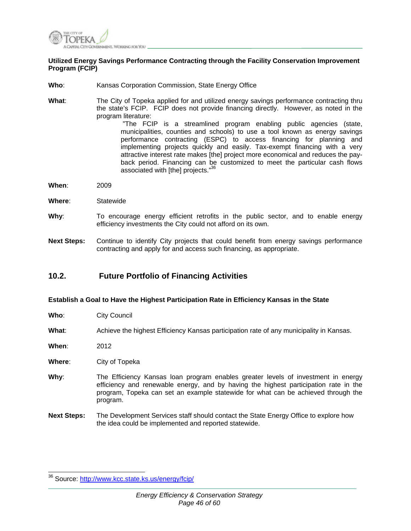

#### **Utilized Energy Savings Performance Contracting through the Facility Conservation Improvement Program (FCIP)**

**Who**: Kansas Corporation Commission, State Energy Office

**What**: The City of Topeka applied for and utilized energy savings performance contracting thru the state's FCIP. FCIP does not provide financing directly. However, as noted in the program literature:

"The FCIP is a streamlined program enabling public agencies (state, municipalities, counties and schools) to use a tool known as energy savings performance contracting (ESPC) to access financing for planning and implementing projects quickly and easily. Tax-exempt financing with a very attractive interest rate makes [the] project more economical and reduces the payback period. Financing can be customized to meet the particular cash flows associated with [the] projects."36

- **When**: 2009
- **Where**: Statewide
- **Why**: To encourage energy efficient retrofits in the public sector, and to enable energy efficiency investments the City could not afford on its own.
- **Next Steps:** Continue to identify City projects that could benefit from energy savings performance contracting and apply for and access such financing, as appropriate.

## **10.2. Future Portfolio of Financing Activities**

#### **Establish a Goal to Have the Highest Participation Rate in Efficiency Kansas in the State**

- **Who:** City Council
- **What:** Achieve the highest Efficiency Kansas participation rate of any municipality in Kansas.
- **When**: 2012

l

- **Where:** City of Topeka
- **Why**: The Efficiency Kansas loan program enables greater levels of investment in energy efficiency and renewable energy, and by having the highest participation rate in the program, Topeka can set an example statewide for what can be achieved through the program.
- **Next Steps:** The Development Services staff should contact the State Energy Office to explore how the idea could be implemented and reported statewide.

<sup>&</sup>lt;sup>36</sup> Source: http://www.kcc.state.ks.us/energy/fcip/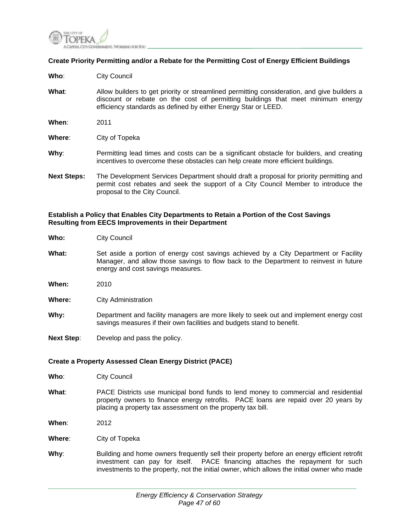

#### **Create Priority Permitting and/or a Rebate for the Permitting Cost of Energy Efficient Buildings**

| Who: | <b>City Council</b> |
|------|---------------------|
|      |                     |

- **What**: Allow builders to get priority or streamlined permitting consideration, and give builders a discount or rebate on the cost of permitting buildings that meet minimum energy efficiency standards as defined by either Energy Star or LEED.
- **When**: 2011
- **Where:** City of Topeka
- **Why**: Permitting lead times and costs can be a significant obstacle for builders, and creating incentives to overcome these obstacles can help create more efficient buildings.
- **Next Steps:** The Development Services Department should draft a proposal for priority permitting and permit cost rebates and seek the support of a City Council Member to introduce the proposal to the City Council.

#### **Establish a Policy that Enables City Departments to Retain a Portion of the Cost Savings Resulting from EECS Improvements in their Department**

| Who:   | City Council                                                                                                                                                                                                       |
|--------|--------------------------------------------------------------------------------------------------------------------------------------------------------------------------------------------------------------------|
| What:  | Set aside a portion of energy cost savings achieved by a City Department or Facility<br>Manager, and allow those savings to flow back to the Department to reinvest in future<br>energy and cost savings measures. |
| When:  | 2010                                                                                                                                                                                                               |
| Where: | City Administration                                                                                                                                                                                                |
| Why:   | Department and facility managers are more likely to seek out and implement energy cost                                                                                                                             |

savings measures if their own facilities and budgets stand to benefit.

**Next Step:** Develop and pass the policy.

#### **Create a Property Assessed Clean Energy District (PACE)**

- **Who:** City Council
- **What**: PACE Districts use municipal bond funds to lend money to commercial and residential property owners to finance energy retrofits. PACE loans are repaid over 20 years by placing a property tax assessment on the property tax bill.
- **When**: 2012
- **Where:** City of Topeka
- **Why**: Building and home owners frequently sell their property before an energy efficient retrofit investment can pay for itself. PACE financing attaches the repayment for such investments to the property, not the initial owner, which allows the initial owner who made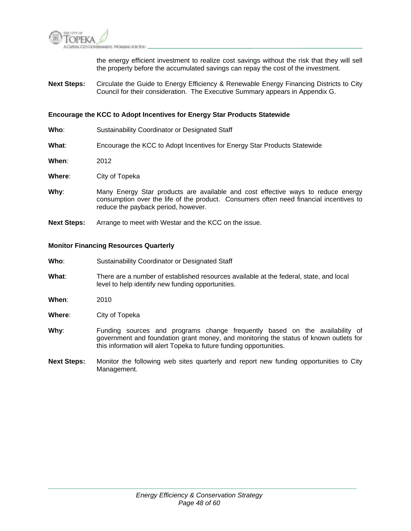

the energy efficient investment to realize cost savings without the risk that they will sell the property before the accumulated savings can repay the cost of the investment.

**Next Steps:** Circulate the Guide to Energy Efficiency & Renewable Energy Financing Districts to City Council for their consideration. The Executive Summary appears in Appendix G.

#### **Encourage the KCC to Adopt Incentives for Energy Star Products Statewide**

**Who**: Sustainability Coordinator or Designated Staff

- **What**: Encourage the KCC to Adopt Incentives for Energy Star Products Statewide
- **When**: 2012
- **Where:** City of Topeka
- **Why**: Many Energy Star products are available and cost effective ways to reduce energy consumption over the life of the product. Consumers often need financial incentives to reduce the payback period, however.
- **Next Steps:** Arrange to meet with Westar and the KCC on the issue.

#### **Monitor Financing Resources Quarterly**

- **Who**: Sustainability Coordinator or Designated Staff
- What: There are a number of established resources available at the federal, state, and local level to help identify new funding opportunities.
- **When**: 2010
- **Where:** City of Topeka
- **Why**: Funding sources and programs change frequently based on the availability of government and foundation grant money, and monitoring the status of known outlets for this information will alert Topeka to future funding opportunities.
- **Next Steps:** Monitor the following web sites quarterly and report new funding opportunities to City Management.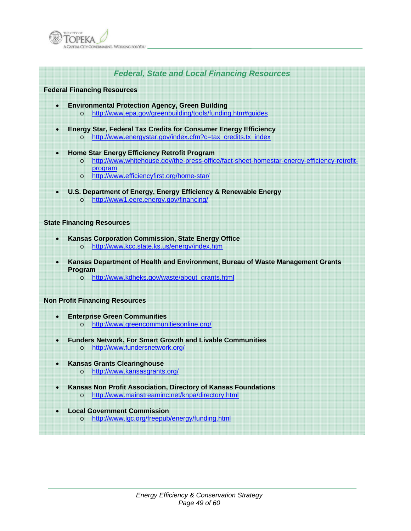

## *Federal, State and Local Financing Resources*

#### **Federal Financing Resources**

- **Environmental Protection Agency, Green Building**  o http://www.epa.gov/greenbuilding/tools/funding.htm#guides
- **Energy Star, Federal Tax Credits for Consumer Energy Efficiency**  o http://www.energystar.gov/index.cfm?c=tax\_credits.tx\_index
- **Home Star Energy Efficiency Retrofit Program** 
	- o http://www.whitehouse.gov/the-press-office/fact-sheet-homestar-energy-efficiency-retrofitprogram
	- o http://www.efficiencyfirst.org/home-star/
- **U.S. Department of Energy, Energy Efficiency & Renewable Energy**  o http://www1.eere.energy.gov/financing/

#### **State Financing Resources**

- **Kansas Corporation Commission, State Energy Office**  o http://www.kcc.state.ks.us/energy/index.htm
- **Kansas Department of Health and Environment, Bureau of Waste Management Grants Program** 
	- o http://www.kdheks.gov/waste/about\_grants.html

#### **Non Profit Financing Resources**

- **Enterprise Green Communities**  o http://www.greencommunitiesonline.org/
- **Funders Network, For Smart Growth and Livable Communities**  o http://www.fundersnetwork.org/
- **Kansas Grants Clearinghouse**  o http://www.kansasgrants.org/
- **Kansas Non Profit Association, Directory of Kansas Foundations**  o http://www.mainstreaminc.net/knpa/directory.html
- **Local Government Commission** 
	- o http://www.lgc.org/freepub/energy/funding.html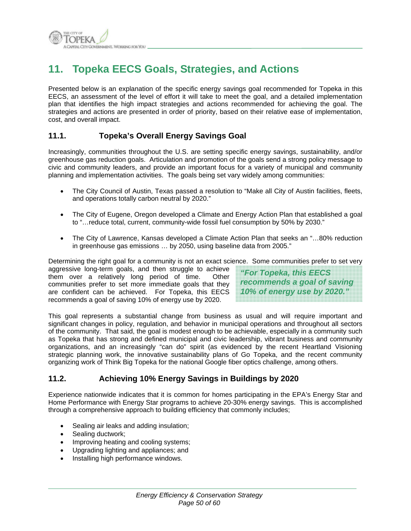

## **11. Topeka EECS Goals, Strategies, and Actions**

Presented below is an explanation of the specific energy savings goal recommended for Topeka in this EECS, an assessment of the level of effort it will take to meet the goal, and a detailed implementation plan that identifies the high impact strategies and actions recommended for achieving the goal. The strategies and actions are presented in order of priority, based on their relative ease of implementation, cost, and overall impact.

## **11.1. Topeka's Overall Energy Savings Goal**

Increasingly, communities throughout the U.S. are setting specific energy savings, sustainability, and/or greenhouse gas reduction goals. Articulation and promotion of the goals send a strong policy message to civic and community leaders, and provide an important focus for a variety of municipal and community planning and implementation activities. The goals being set vary widely among communities:

- The City Council of Austin, Texas passed a resolution to "Make all City of Austin facilities, fleets, and operations totally carbon neutral by 2020."
- The City of Eugene, Oregon developed a Climate and Energy Action Plan that established a goal to "…reduce total, current, community-wide fossil fuel consumption by 50% by 2030."
- The City of Lawrence, Kansas developed a Climate Action Plan that seeks an "…80% reduction in greenhouse gas emissions … by 2050, using baseline data from 2005."

Determining the right goal for a community is not an exact science. Some communities prefer to set very

aggressive long-term goals, and then struggle to achieve them over a relatively long period of time. Other communities prefer to set more immediate goals that they are confident can be achieved. For Topeka, this EECS recommends a goal of saving 10% of energy use by 2020.

*"For Topeka, this EECS recommends a goal of saving 10% of energy use by 2020."* 

This goal represents a substantial change from business as usual and will require important and significant changes in policy, regulation, and behavior in municipal operations and throughout all sectors of the community. That said, the goal is modest enough to be achievable, especially in a community such as Topeka that has strong and defined municipal and civic leadership, vibrant business and community organizations, and an increasingly "can do" spirit (as evidenced by the recent Heartland Visioning strategic planning work, the innovative sustainability plans of Go Topeka, and the recent community organizing work of Think Big Topeka for the national Google fiber optics challenge, among others.

## **11.2. Achieving 10% Energy Savings in Buildings by 2020**

Experience nationwide indicates that it is common for homes participating in the EPA's Energy Star and Home Performance with Energy Star programs to achieve 20-30% energy savings. This is accomplished through a comprehensive approach to building efficiency that commonly includes;

- Sealing air leaks and adding insulation;
- Sealing ductwork;
- Improving heating and cooling systems;
- Upgrading lighting and appliances; and
- Installing high performance windows.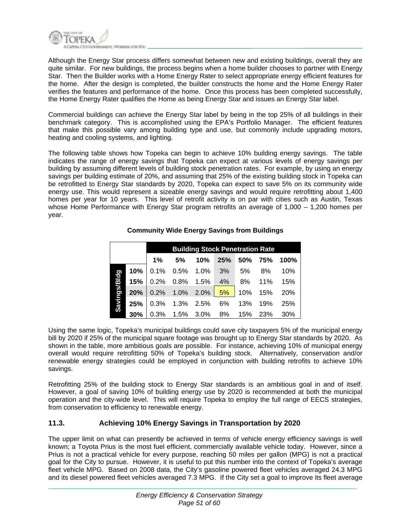

Although the Energy Star process differs somewhat between new and existing buildings, overall they are quite similar. For new buildings, the process begins when a home builder chooses to partner with Energy Star. Then the Builder works with a Home Energy Rater to select appropriate energy efficient features for the home. After the design is completed, the builder constructs the home and the Home Energy Rater verifies the features and performance of the home. Once this process has been completed successfully, the Home Energy Rater qualifies the Home as being Energy Star and issues an Energy Star label.

Commercial buildings can achieve the Energy Star label by being in the top 25% of all buildings in their benchmark category. This is accomplished using the EPA's Portfolio Manager. The efficient features that make this possible vary among building type and use, but commonly include upgrading motors, heating and cooling systems, and lighting.

The following table shows how Topeka can begin to achieve 10% building energy savings. The table indicates the range of energy savings that Topeka can expect at various levels of energy savings per building by assuming different levels of building stock penetration rates. For example, by using an energy savings per building estimate of 20%, and assuming that 25% of the existing building stock in Topeka can be retrofitted to Energy Star standards by 2020, Topeka can expect to save 5% on its community wide energy use. This would represent a sizeable energy savings and would require retrofitting about 1,400 homes per year for 10 years. This level of retrofit activity is on par with cities such as Austin, Texas whose Home Performance with Energy Star program retrofits an average of 1,000 – 1,200 homes per year.

|              |             | <b>Building Stock Penetration Rate</b>   |           |                         |     |         |         |        |
|--------------|-------------|------------------------------------------|-----------|-------------------------|-----|---------|---------|--------|
| $1\%$        |             |                                          | <b>5%</b> | $10\%$                  | 25% | 50% 75% |         | 100%   |
|              | 10%         |                                          |           | 0.1% 0.5% 1.0% 3% 5%    |     |         | 8%      | 10%    |
|              | 15% $\vert$ |                                          |           | $0.2\%$ 0.8% 1.5% 4% 8% |     |         | 11%     | 15%    |
|              |             | <b>20%</b> 0.2% 1.0% 2.0% 5% 10% 15% 20% |           |                         |     |         |         |        |
| Savings/Bldg | 25%         |                                          |           | 0.3% 1.3% 2.5% 6%       |     | 13%     | 19%     | 25%    |
|              | 30%         |                                          |           | $0.3\%$ 1.5% 3.0% 8%    |     |         | 15% 23% | $30\%$ |

### **Community Wide Energy Savings from Buildings**

Using the same logic, Topeka's municipal buildings could save city taxpayers 5% of the municipal energy bill by 2020 if 25% of the municipal square footage was brought up to Energy Star standards by 2020. As shown in the table, more ambitious goals are possible. For instance, achieving 10% of municipal energy overall would require retrofitting 50% of Topeka's building stock. Alternatively, conservation and/or renewable energy strategies could be employed in conjunction with building retrofits to achieve 10% savings.

Retrofitting 25% of the building stock to Energy Star standards is an ambitious goal in and of itself. However, a goal of saving 10% of building energy use by 2020 is recommended at both the municipal operation and the city-wide level. This will require Topeka to employ the full range of EECS strategies, from conservation to efficiency to renewable energy.

## **11.3. Achieving 10% Energy Savings in Transportation by 2020**

The upper limit on what can presently be achieved in terms of vehicle energy efficiency savings is well known; a Toyota Prius is the most fuel efficient, commercially available vehicle today. However, since a Prius is not a practical vehicle for every purpose, reaching 50 miles per gallon (MPG) is not a practical goal for the City to pursue. However, it is useful to put this number into the context of Topeka's average fleet vehicle MPG. Based on 2008 data, the City's gasoline powered fleet vehicles averaged 24.3 MPG and its diesel powered fleet vehicles averaged 7.3 MPG. If the City set a goal to improve its fleet average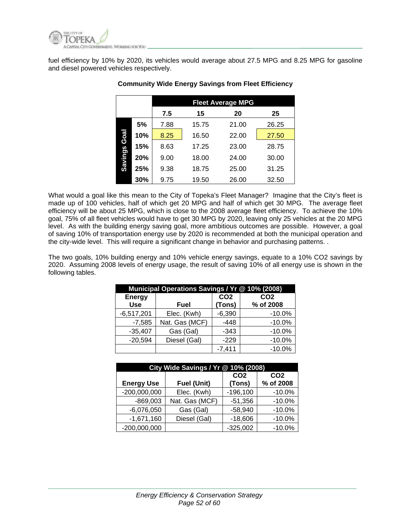

fuel efficiency by 10% by 2020, its vehicles would average about 27.5 MPG and 8.25 MPG for gasoline and diesel powered vehicles respectively.

|             |     | <b>Fleet Average MPG</b> |                |       |       |  |  |
|-------------|-----|--------------------------|----------------|-------|-------|--|--|
|             |     | 7.5                      | 15<br>25<br>20 |       |       |  |  |
|             | 5%  | 7.88                     | 15.75          | 21.00 | 26.25 |  |  |
|             | 10% | 8.25                     | 16.50          | 22.00 | 27.50 |  |  |
|             | 15% | 8.63                     | 17.25          | 23.00 | 28.75 |  |  |
| Savings Goa | 20% | 9.00                     | 18.00          | 24.00 | 30.00 |  |  |
|             | 25% | 9.38                     | 18.75          | 25.00 | 31.25 |  |  |
|             | 30% | 9.75                     | 19.50          | 26.00 | 32.50 |  |  |

#### **Community Wide Energy Savings from Fleet Efficiency**

What would a goal like this mean to the City of Topeka's Fleet Manager? Imagine that the City's fleet is made up of 100 vehicles, half of which get 20 MPG and half of which get 30 MPG. The average fleet efficiency will be about 25 MPG, which is close to the 2008 average fleet efficiency. To achieve the 10% goal, 75% of all fleet vehicles would have to get 30 MPG by 2020, leaving only 25 vehicles at the 20 MPG level. As with the building energy saving goal, more ambitious outcomes are possible. However, a goal of saving 10% of transportation energy use by 2020 is recommended at both the municipal operation and the city-wide level. This will require a significant change in behavior and purchasing patterns. .

The two goals, 10% building energy and 10% vehicle energy savings, equate to a 10% CO2 savings by 2020. Assuming 2008 levels of energy usage, the result of saving 10% of all energy use is shown in the following tables.

| Municipal Operations Savings / Yr @ 10% (2008) |                |          |                 |  |  |
|------------------------------------------------|----------------|----------|-----------------|--|--|
| <b>Energy</b>                                  |                |          | CO <sub>2</sub> |  |  |
| <b>Use</b>                                     | <b>Fuel</b>    | (Tons)   | % of 2008       |  |  |
| $-6,517,201$                                   | Elec. (Kwh)    | $-6,390$ | $-10.0%$        |  |  |
| $-7,585$                                       | Nat. Gas (MCF) | $-448$   | $-10.0%$        |  |  |
| $-35,407$                                      | Gas (Gal)      | $-343$   | $-10.0%$        |  |  |
| $-20,594$                                      | Diesel (Gal)   | $-229$   | $-10.0%$        |  |  |
|                                                |                | $-7,411$ | $-10.0%$        |  |  |

| <b>City Wide Savings / Yr @ 10% (2008)</b> |                |                           |                              |  |  |
|--------------------------------------------|----------------|---------------------------|------------------------------|--|--|
| <b>Fuel (Unit)</b><br><b>Energy Use</b>    |                | CO <sub>2</sub><br>(Tons) | CO <sub>2</sub><br>% of 2008 |  |  |
|                                            |                |                           |                              |  |  |
| $-200,000,000$                             | Elec. (Kwh)    | $-196,100$                | $-10.0%$                     |  |  |
| $-869,003$                                 | Nat. Gas (MCF) | $-51,356$                 | $-10.0%$                     |  |  |
| $-6,076,050$                               | Gas (Gal)      | $-58,940$                 | $-10.0%$                     |  |  |
| $-1,671,160$                               | Diesel (Gal)   | $-18,606$                 | $-10.0%$                     |  |  |
| $-200,000,000$                             |                | $-325,002$                | $-10.0%$                     |  |  |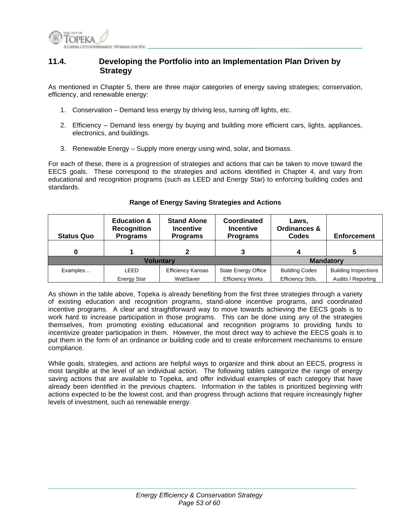

## **11.4. Developing the Portfolio into an Implementation Plan Driven by Strategy**

As mentioned in Chapter 5, there are three major categories of energy saving strategies; conservation, efficiency, and renewable energy:

1. Conservation – Demand less energy by driving less, turning off lights, etc.

- 2. Efficiency Demand less energy by buying and building more efficient cars, lights, appliances, electronics, and buildings.
- 3. Renewable Energy Supply more energy using wind, solar, and biomass.

For each of these, there is a progression of strategies and actions that can be taken to move toward the EECS goals. These correspond to the strategies and actions identified in Chapter 4, and vary from educational and recognition programs (such as LEED and Energy Star) to enforcing building codes and standards.

| <b>Status Quo</b> | <b>Education &amp;</b><br>Recognition<br><b>Programs</b> | <b>Stand Alone</b><br><b>Incentive</b><br><b>Programs</b> | Coordinated<br><b>Incentive</b><br><b>Programs</b> | Laws.<br><b>Ordinances &amp;</b><br><b>Codes</b> | <b>Enforcement</b>          |
|-------------------|----------------------------------------------------------|-----------------------------------------------------------|----------------------------------------------------|--------------------------------------------------|-----------------------------|
| 0                 |                                                          |                                                           |                                                    |                                                  |                             |
|                   |                                                          | Voluntarv                                                 |                                                    |                                                  | <b>Mandatory</b>            |
| Examples          | LEED                                                     | <b>Efficiency Kansas</b>                                  | <b>State Energy Office</b>                         | <b>Building Codes</b>                            | <b>Building Inspections</b> |
|                   | <b>Energy Star</b>                                       | WattSaver                                                 | <b>Efficiency Works</b>                            | Efficiency Stds.                                 | Audits / Reporting          |

#### **Range of Energy Saving Strategies and Actions**

As shown in the table above, Topeka is already benefiting from the first three strategies through a variety of existing education and recognition programs, stand-alone incentive programs, and coordinated incentive programs. A clear and straightforward way to move towards achieving the EECS goals is to work hard to increase participation in those programs. This can be done using any of the strategies themselves, from promoting existing educational and recognition programs to providing funds to incentivize greater participation in them. However, the most direct way to achieve the EECS goals is to put them in the form of an ordinance or building code and to create enforcement mechanisms to ensure compliance.

While goals, strategies, and actions are helpful ways to organize and think about an EECS, progress is most tangible at the level of an individual action. The following tables categorize the range of energy saving actions that are available to Topeka, and offer individual examples of each category that have already been identified in the previous chapters. Information in the tables is prioritized beginning with actions expected to be the lowest cost, and than progress through actions that require increasingly higher levels of investment, such as renewable energy.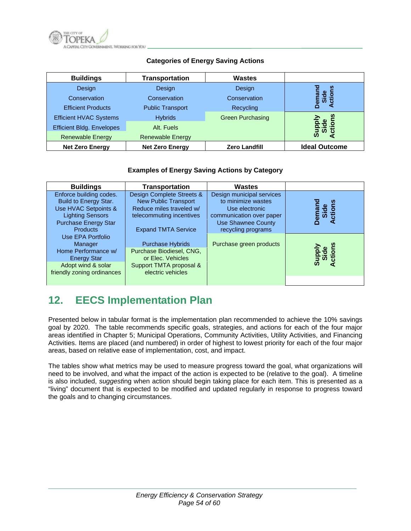

| <b>Buildings</b>                 | <b>Transportation</b>   | <b>Wastes</b>           |                      |
|----------------------------------|-------------------------|-------------------------|----------------------|
| Design                           | Design                  | Design                  | യ                    |
| Conservation                     | Conservation            | Conservation            | ັທ                   |
| <b>Efficient Products</b>        | <b>Public Transport</b> | Recycling               |                      |
| <b>Efficient HVAC Systems</b>    | <b>Hybrids</b>          | <b>Green Purchasing</b> |                      |
| <b>Efficient Bldg. Envelopes</b> | Alt. Fuels              |                         | 3<br>ഗ               |
| <b>Renewable Energy</b>          | <b>Renewable Energy</b> |                         | S)                   |
| <b>Net Zero Energy</b>           | <b>Net Zero Energy</b>  | <b>Zero Landfill</b>    | <b>Ideal Outcome</b> |

### **Categories of Energy Saving Actions**

### **Examples of Energy Saving Actions by Category**

| <b>Buildings</b>                                                                                                                                      | <b>Transportation</b>                                                                                                                          | <b>Wastes</b>                                                                                                                                    |               |
|-------------------------------------------------------------------------------------------------------------------------------------------------------|------------------------------------------------------------------------------------------------------------------------------------------------|--------------------------------------------------------------------------------------------------------------------------------------------------|---------------|
| Enforce building codes.<br>Build to Energy Star.<br>Use HVAC Setpoints &<br><b>Lighting Sensors</b><br><b>Purchase Energy Star</b><br><b>Products</b> | Design Complete Streets &<br><b>New Public Transport</b><br>Reduce miles traveled w/<br>telecommuting incentives<br><b>Expand TMTA Service</b> | Design municipal services<br>to minimize wastes<br>Use electronic<br>communication over paper<br><b>Use Shawnee County</b><br>recycling programs | Side<br>Demar |
| Use EPA Portfolio<br>Manager<br>Home Performance w/<br><b>Energy Star</b><br>Adopt wind & solar                                                       | Purchase Hybrids<br>Purchase Biodiesel, CNG,<br>or Elec. Vehicles                                                                              | Purchase green products                                                                                                                          | គ្នួ ទូ<br>ิด |
| friendly zoning ordinances                                                                                                                            | Support TMTA proposal &<br>electric vehicles                                                                                                   |                                                                                                                                                  |               |

## **12. EECS Implementation Plan**

Presented below in tabular format is the implementation plan recommended to achieve the 10% savings goal by 2020. The table recommends specific goals, strategies, and actions for each of the four major areas identified in Chapter 5; Municipal Operations, Community Activities, Utility Activities, and Financing Activities. Items are placed (and numbered) in order of highest to lowest priority for each of the four major areas, based on relative ease of implementation, cost, and impact.

The tables show what metrics may be used to measure progress toward the goal, what organizations will need to be involved, and what the impact of the action is expected to be (relative to the goal). A timeline is also included, *suggest*ing when action should begin taking place for each item. This is presented as a "living" document that is expected to be modified and updated regularly in response to progress toward the goals and to changing circumstances.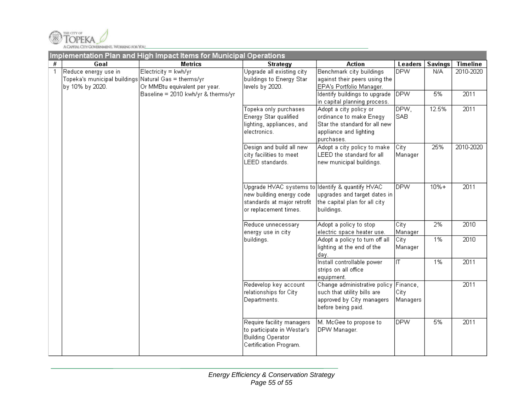

|              |                                                                                                 | Implementation Plan and High Impact Items for Municipal Operations |                                                                                                                                      |                                                                                                                            |                        |                |                 |
|--------------|-------------------------------------------------------------------------------------------------|--------------------------------------------------------------------|--------------------------------------------------------------------------------------------------------------------------------------|----------------------------------------------------------------------------------------------------------------------------|------------------------|----------------|-----------------|
| #            | Goal                                                                                            | <b>Metrics</b>                                                     | <b>Strategy</b>                                                                                                                      | <b>Action</b>                                                                                                              | Leaders                | <b>Savings</b> | <b>Timeline</b> |
| $\mathbf{1}$ | Reduce energy use in<br>Topeka's municipal buildings Natural Gas = therms/γr<br>by 10% by 2020. | Electricity = $kwh/yr$<br>Or MMBtu equivalent per year.            | Upgrade all existing city<br>buildings to Energy Star<br>levels by 2020.                                                             | Benchmark city buildings<br>against their peers using the<br>EPA's Portfolio Manager.                                      | <b>DPW</b>             | N/A            | 2010-2020       |
|              |                                                                                                 | Baseline = 2010 kwh/yr & therms/yr                                 |                                                                                                                                      | Identify buildings to upgrade<br>in capital planning process.                                                              | <b>DPW</b>             | 5%             | 2011            |
|              |                                                                                                 |                                                                    | Topeka only purchases<br>Energy Star qualified<br>lighting, appliances, and<br>electronics.                                          | Adopt a city policy or<br>ordinance to make Enegy<br>Star the standard for all new<br>appliance and lighting<br>purchases. | DPW,<br><b>SAB</b>     | 12.5%          | 2011            |
|              |                                                                                                 |                                                                    | Design and build all new<br>city facilities to meet<br>LEED standards.                                                               | Adopt a city policy to make<br>LEED the standard for all<br>new municipal buildings.                                       | City<br>Manager        | 25%            | 2010-2020       |
|              |                                                                                                 |                                                                    | Upgrade HVAC systems to Identify & quantify HVAC<br>new building energy code<br>standards at major retrofit<br>or replacement times. | upgrades and target dates in<br>the capital plan for all city<br>buildings.                                                | <b>DPW</b>             | $10% +$        | 2011            |
|              |                                                                                                 |                                                                    | Reduce unnecessary<br>energy use in city                                                                                             | Adopt a policy to stop<br>electric space heater use.                                                                       | City<br>Manager        | 2%             | 2010            |
|              |                                                                                                 |                                                                    | buildings.                                                                                                                           | Adopt a policy to turn off all<br>lighting at the end of the<br>day.                                                       | Citγ<br>Manager        | 1%             | 2010            |
|              |                                                                                                 |                                                                    |                                                                                                                                      | Install controllable power<br>strips on all office<br>equipment.                                                           | $\overline{\text{IT}}$ | 1%             | 2011            |
|              |                                                                                                 |                                                                    | Redevelop key account<br>relationships for City<br>Departments.                                                                      | Change administrative policy Finance,<br>such that utility bills are<br>approved by City managers<br>before being paid.    | City<br>Managers       |                | 2011            |
|              |                                                                                                 |                                                                    | Require facility managers<br>to participate in Westar's.<br><b>Building Operator</b><br>Certification Program.                       | M. McGee to propose to<br>DPW Manager.                                                                                     | <b>DPW</b>             | 5%             | 2011            |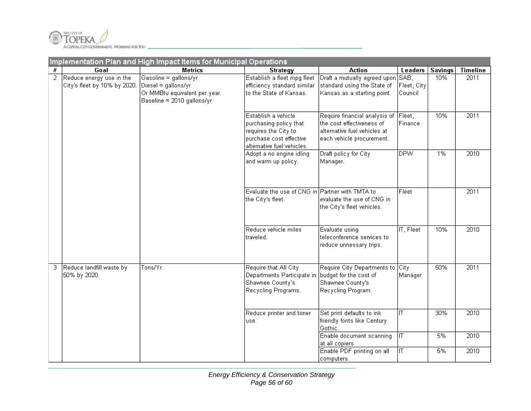

|                   |                                                          | Implementation Plan and High Impact Items for Municipal Operations                                                                         |                                                                                                                                |                                                                                                                         |                         |                |                 |
|-------------------|----------------------------------------------------------|--------------------------------------------------------------------------------------------------------------------------------------------|--------------------------------------------------------------------------------------------------------------------------------|-------------------------------------------------------------------------------------------------------------------------|-------------------------|----------------|-----------------|
| $\overline{\ast}$ | Goal                                                     | <b>Metrics</b>                                                                                                                             | <b>Strategy</b>                                                                                                                | <b>Action</b>                                                                                                           | Leaders                 | <b>Savings</b> | <b>Timeline</b> |
| $\overline{2}$    | Reduce energy use in the<br>City's fleet by 10% by 2020. | $\overline{\mathsf{Gasoline}} = \mathsf{gallons/yr}$<br>Diesel = gallons/yr<br>Or MMBtu equivalent per year.<br>Baseline = 2010 gallons/yr | Establish a fleet mpg fleet<br>efficiency standard similar<br>to the State of Kansas.                                          | Draft a mutually agreed upon SAB,<br>standard using the State of<br>Kansas as a starting point.                         | Fleet, City<br>Council  | 10%            | 2011            |
|                   |                                                          |                                                                                                                                            | Establish a vehicle<br>purchasing policy that<br>requires the City to<br>purchase cost effective<br>alternative fuel vehicles. | Require financial analysis of<br>the cost effectiveness of<br>alternative fuel vehicles at<br>each vehicle procurement. | Fleet,<br>Finance       | 10%            | 2011            |
|                   |                                                          |                                                                                                                                            | Adopt a no engine idling<br>and warm up policy.                                                                                | Draft policy for City<br>Manager.                                                                                       | <b>DPW</b>              | 1%             | 2010            |
|                   |                                                          |                                                                                                                                            | Evaluate the use of CNG in Partner with TMTA to<br>the City's fleet.                                                           | evaluate the use of CNG in<br>the City's fleet vehicles.                                                                | Fleet                   |                | 2011            |
|                   |                                                          |                                                                                                                                            | Reduce vehicle miles<br>traveled.                                                                                              | Evaluate using<br>teleconference services to<br>reduce unnessary trips.                                                 | IT, Fleet               | 10%            | 2010            |
| 3.                | Reduce landfill waste by<br>50% by 2020.                 | Tons/Yr                                                                                                                                    | Require that All City<br>Departments Participate in<br>Shawnee County's<br>Recycling Programs.                                 | Require City Departments to City<br>budget for the cost of<br>Shawnee County's<br>Recycling Program.                    | Manager                 | 50%            | 2011            |
|                   |                                                          |                                                                                                                                            | Reduce printer and toner<br>use.                                                                                               | Set print defaults to ink<br>friendly fonts like Century<br>Gothic.                                                     | $\overline{\text{IIT}}$ | 30%            | 2010            |
|                   |                                                          |                                                                                                                                            |                                                                                                                                | Enable document scanning<br>at all copiers                                                                              | ĪП                      | 5%             | 2010            |
|                   |                                                          |                                                                                                                                            |                                                                                                                                | Enable PDF printing on all<br>computers.                                                                                | ĪΙT                     | 5%             | 2010            |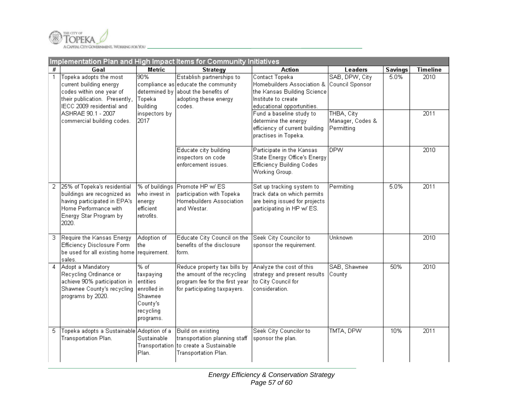

|              | Implementation Plan and High Impact Items for Community Initiatives                                                                                               |                                                                                               |                                                                                                                                            |                                                                                                                                                              |                                                 |                |                 |
|--------------|-------------------------------------------------------------------------------------------------------------------------------------------------------------------|-----------------------------------------------------------------------------------------------|--------------------------------------------------------------------------------------------------------------------------------------------|--------------------------------------------------------------------------------------------------------------------------------------------------------------|-------------------------------------------------|----------------|-----------------|
| #            | Goal                                                                                                                                                              | Metric                                                                                        | <b>Strategy</b>                                                                                                                            | <b>Action</b>                                                                                                                                                | <b>Leaders</b>                                  | <b>Savings</b> | <b>Timeline</b> |
| $\mathbf{1}$ | Topeka adopts the most<br>current building energy<br>codes within one year of<br>their publication. Presently,<br>IECC 2009 residential and<br>ASHRAE 90.1 - 2007 | 90%<br>Topeka<br>building<br>inspectors by                                                    | Establish partnerships to<br>compliance as educate the community<br>determined by about the benefits of<br>adopting these energy<br>codes. | Contact Topeka<br>Homebuilders Association &<br>the Kansas Building Science<br>Institute to create<br>educational opportunities.<br>Fund a baseline study to | SAB, DPW, City<br>Council Sponsor<br>THBA, City | 5.0%           | 2010<br>2011    |
|              | commercial building codes.                                                                                                                                        | 2017                                                                                          |                                                                                                                                            | determine the energy<br>efficiency of current building<br>practises in Topeka.                                                                               | Manager, Codes &<br>Permitting                  |                |                 |
|              |                                                                                                                                                                   |                                                                                               | Educate city building<br>inspectors on code<br>enforcement issues.                                                                         | Participate in the Kansas<br>State Energy Office's Energy<br><b>Efficiency Building Codes</b><br>Working Group.                                              | <b>DPW</b>                                      |                | 2010            |
| 2            | 25% of Topeka's residential<br>buildings are recognized as<br>having participated in EPA's<br>Home Performance with<br>Energy Star Program by<br>2020.            | who invest in<br>energy<br>efficient<br>retrofits.                                            | % of buildings Promote HP w/ ES<br>participation with Topeka<br>Homebuilders Association<br>and Westar.                                    | Set up tracking system to<br>track data on which permits.<br>are being issued for projects.<br>participating in HP w/ ES.                                    | Permiting                                       | 5.0%           | 2011            |
| з            | Require the Kansas Energy<br>Efficiency Disclosure Form<br>be used for all existing home<br>sales.                                                                | Adoption of<br>lthe<br>requirement.                                                           | Educate City Council on the<br>benefits of the disclosure<br>lform.                                                                        | Seek City Councilor to<br>sponsor the requirement.                                                                                                           | Unknown                                         |                | 2010            |
| $\Delta$     | Adopt a Mandatory<br>Recycling Ordinance or<br>achieve 90% participation in<br>Shawnee County's recycling<br>programs by 2020.                                    | % of<br>taxpaying<br>entities<br>enrolled in<br>Shawnee<br>County's<br>recycling<br>programs. | Reduce property tax bills by<br>the amount of the recycling<br>program fee for the first year<br>for participating taxpayers.              | Analyze the cost of this<br>strategy and present results<br>to City Council for<br>consideration.                                                            | SAB, Shawnee<br>County                          | 50%            | 2010            |
| 5            | Topeka adopts a Sustainable Adoption of a<br>Transportation Plan.                                                                                                 | Sustainable<br>Plan.                                                                          | Build on existing<br>transportation planning staff<br>Transportation to create a Sustainable<br>Transportation Plan.                       | Seek City Councilor to<br>sponsor the plan.                                                                                                                  | TMTA, DPW                                       | 10%            | 2011            |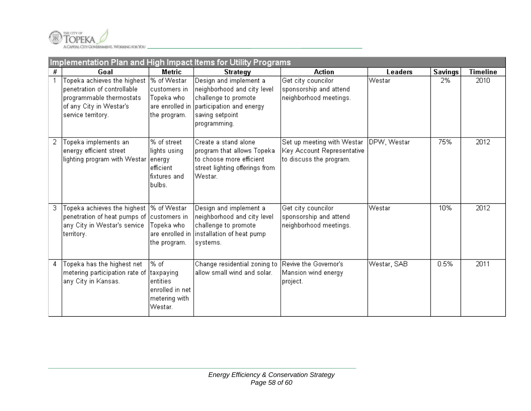

|   | Implementation Plan and High Impact Items for Utility Programs                                                                          |                                                                               |                                                                                                                                                              |                                                                                     |             |                |                 |
|---|-----------------------------------------------------------------------------------------------------------------------------------------|-------------------------------------------------------------------------------|--------------------------------------------------------------------------------------------------------------------------------------------------------------|-------------------------------------------------------------------------------------|-------------|----------------|-----------------|
| # | Goal                                                                                                                                    | <b>Metric</b>                                                                 | <b>Strategy</b>                                                                                                                                              | Action                                                                              | Leaders     | <b>Savings</b> | <b>Timeline</b> |
|   | Topeka achieves the highest<br>penetration of controllable<br>programmable thermostats<br>of any City in Westar's<br>service territory. | % of Westar<br>customers in<br>Topeka who<br>the program.                     | Design and implement a<br>neighborhood and city level<br>challenge to promote<br>are enrolled in participation and energy<br>saving setpoint<br>programming. | Get city councilor<br>sponsorship and attend<br>neighborhood meetings.              | Westar      | 2%             | 2010            |
| 2 | Topeka implements an<br>energy efficient street<br>lighting program with Westar   energy                                                | % of street<br>lights using<br>efficient<br>lfixtures and<br>bulbs.           | Create a stand alone<br>program that allows Topeka <br>to choose more efficient<br>street lighting offerings from<br>lWestar.                                | Set up meeting with Westar<br>Key Account Representative<br>to discuss the program. | DPW, Westar | 75%            | 2012            |
| 3 | Topeka achieves the highest % of Westar<br>penetration of heat pumps of<br>any City in Westar's service<br>territory.                   | customers in<br>Topeka who<br>the program.                                    | Design and implement a<br> neighborhood and citγ level<br>challenge to promote<br>are enrolled in  installation of heat pump<br>svstems.                     | Get city councilor<br>sponsorship and attend<br>neighborhood meetings.              | Westar      | 10%            | 2012            |
| 4 | Topeka has the highest net<br>metering participation rate of<br>any City in Kansas.                                                     | % of<br> taxpaγing<br>entities<br>enrolled in net<br>metering with<br>Westar. | Change residential zoning to Revive the Governor's<br>allow small wind and solar.                                                                            | Mansion wind energy<br>project.                                                     | Westar, SAB | 0.5%           | 2011            |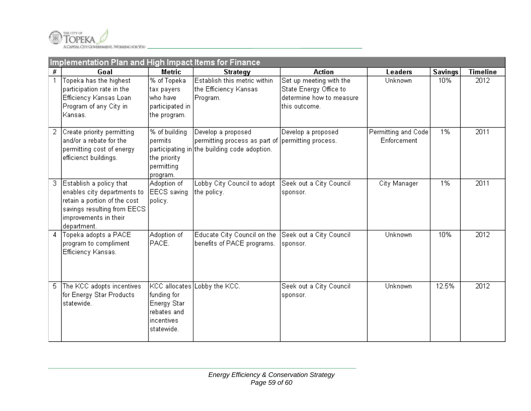

|    | Implementation Plan and High Impact Items for Finance                                                                                                         |                                                                          |                                                                                                                         |                                                                                                 |                                    |                |                 |
|----|---------------------------------------------------------------------------------------------------------------------------------------------------------------|--------------------------------------------------------------------------|-------------------------------------------------------------------------------------------------------------------------|-------------------------------------------------------------------------------------------------|------------------------------------|----------------|-----------------|
| #  | Goal                                                                                                                                                          | <b>Metric</b>                                                            | <b>Strategy</b>                                                                                                         | <b>Action</b>                                                                                   | <b>Leaders</b>                     | <b>Savings</b> | <b>Timeline</b> |
| 1  | Topeka has the highest<br>participation rate in the<br>Efficiency Kansas Loan<br>Program of any City in<br> Kansas.                                           | % of Topeka<br>tax payers<br>who have<br>participated in<br>the program. | Establish this metric within<br>the Efficiency Kansas <br>Program.                                                      | Set up meeting with the<br>State Energy Office to<br>determine how to measure<br>lthis outcome. | Unknown                            | 10%            | 2012            |
| 2  | Create priority permitting<br>and/or a rebate for the<br>permitting cost of energy<br>efficienct buildings.                                                   | % of building<br>permits<br>the priority<br>permitting<br>program.       | Develop a proposed<br>permitting process as part of permitting process.<br>participating in the building code adoption. | Develop a proposed                                                                              | Permitting and Code<br>Enforcement | 1%             | 2011            |
| з. | Establish a policy that<br>enables city departments to<br>retain a portion of the cost<br>savings resulting from EECS<br>improvements in their<br>department. | Adoption of<br>EECS saving<br>policy.                                    | Lobby City Council to adopt<br>the policy.                                                                              | Seek out a City Council<br>sponsor.                                                             | City Manager                       | 1%             | 2011            |
| 4  | Topeka adopts a PACE<br>program to compliment<br>Efficiency Kansas.                                                                                           | Adoption of<br>PACE.                                                     | Educate City Council on the Seek out a City Council<br>benefits of PACE programs.                                       | sponsor.                                                                                        | Unknown                            | 10%            | 2012            |
| 5. | The KCC adopts incentives<br>for Energy Star Products<br>statewide.                                                                                           | funding for<br>Energy Star<br>rebates and<br>incentives<br>statewide.    | KCC allocates Lobby the KCC.                                                                                            | Seek out a City Council<br>sponsor.                                                             | Unknown                            | 12.5%          | 2012            |